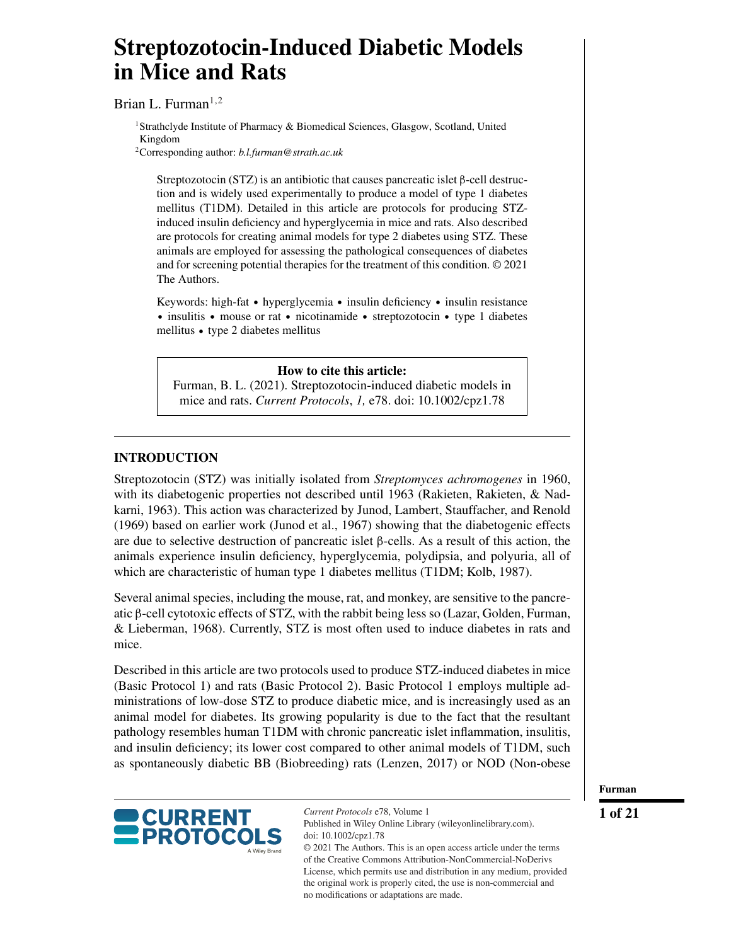# **Streptozotocin-Induced Diabetic Models in Mice and Rats**

Brian L. Furman<sup>1,2</sup>

<sup>1</sup>Strathclyde Institute of Pharmacy & Biomedical Sciences, Glasgow, Scotland, United Kingdom

2Corresponding author: *b.l.furman@strath.ac.uk*

Streptozotocin (STZ) is an antibiotic that causes pancreatic islet β-cell destruction and is widely used experimentally to produce a model of type 1 diabetes mellitus (T1DM). Detailed in this article are protocols for producing STZinduced insulin deficiency and hyperglycemia in mice and rats. Also described are protocols for creating animal models for type 2 diabetes using STZ. These animals are employed for assessing the pathological consequences of diabetes and for screening potential therapies for the treatment of this condition. © 2021 The Authors.

Keywords: high-fat • hyperglycemia • insulin deficiency • insulin resistance insulitis • mouse or rat • nicotinamide • streptozotocin • type 1 diabetes mellitus - type 2 diabetes mellitus

## **How to cite this article:**

Furman, B. L. (2021). Streptozotocin-induced diabetic models in mice and rats. *Current Protocols*, *1,* e78. doi: [10.1002/cpz1.78](https://doi.org/10.1002/cpz1.78)

# **INTRODUCTION**

Streptozotocin (STZ) was initially isolated from *Streptomyces achromogenes* in 1960, with its diabetogenic properties not described until 1963 (Rakieten, Rakieten, & Nadkarni, 1963). This action was characterized by Junod, Lambert, Stauffacher, and Renold (1969) based on earlier work (Junod et al., 1967) showing that the diabetogenic effects are due to selective destruction of pancreatic islet  $\beta$ -cells. As a result of this action, the animals experience insulin deficiency, hyperglycemia, polydipsia, and polyuria, all of which are characteristic of human type 1 diabetes mellitus (T1DM; Kolb, 1987).

Several animal species, including the mouse, rat, and monkey, are sensitive to the pancreatic β-cell cytotoxic effects of STZ, with the rabbit being less so (Lazar, Golden, Furman, & Lieberman, 1968). Currently, STZ is most often used to induce diabetes in rats and mice.

Described in this article are two protocols used to produce STZ-induced diabetes in mice (Basic Protocol 1) and rats (Basic Protocol 2). Basic Protocol 1 employs multiple administrations of low-dose STZ to produce diabetic mice, and is increasingly used as an animal model for diabetes. Its growing popularity is due to the fact that the resultant pathology resembles human T1DM with chronic pancreatic islet inflammation, insulitis, and insulin deficiency; its lower cost compared to other animal models of T1DM, such as spontaneously diabetic BB (Biobreeding) rats (Lenzen, 2017) or NOD (Non-obese



*Current Protocols* e78, Volume 1 Published in Wiley Online Library (wileyonlinelibrary.com). doi: 10.1002/cpz1.78 © 2021 The Authors. This is an open access article under the terms

of the [Creative Commons Attribution-NonCommercial-NoDerivs](http://creativecommons.org/licenses/by-nc-nd/4.0/) License, which permits use and distribution in any medium, provided the original work is properly cited, the use is non-commercial and no modifications or adaptations are made.

**Furman**

**1 of 21**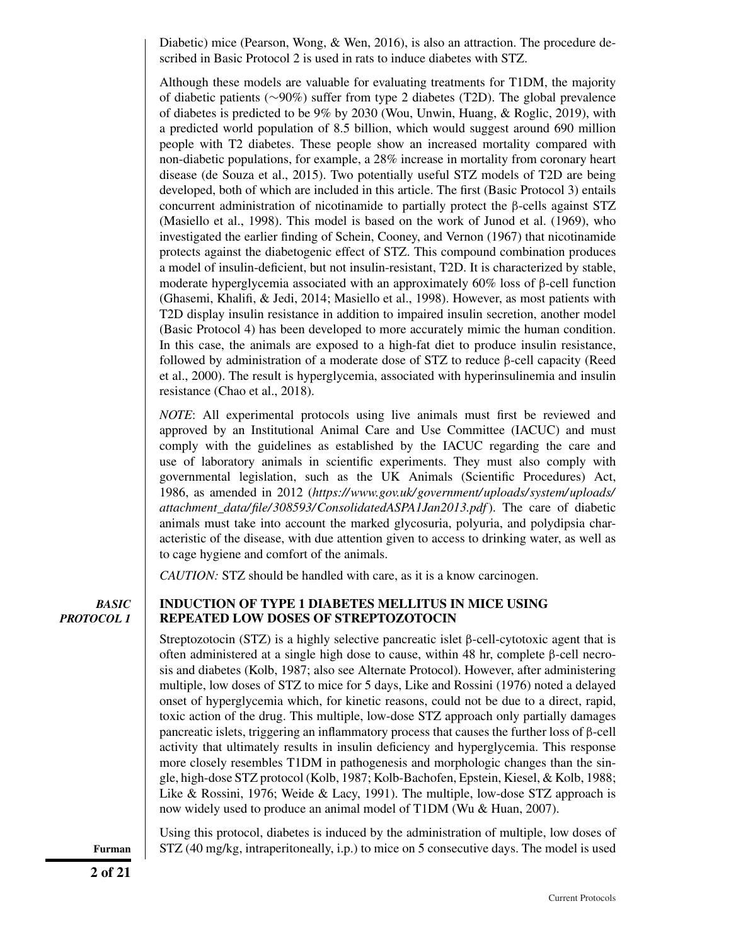Diabetic) mice (Pearson, Wong, & Wen, 2016), is also an attraction. The procedure described in Basic Protocol 2 is used in rats to induce diabetes with STZ.

Although these models are valuable for evaluating treatments for T1DM, the majority of diabetic patients (∼90%) suffer from type 2 diabetes (T2D). The global prevalence of diabetes is predicted to be 9% by 2030 (Wou, Unwin, Huang, & Roglic, 2019), with a predicted world population of 8.5 billion, which would suggest around 690 million people with T2 diabetes. These people show an increased mortality compared with non-diabetic populations, for example, a 28% increase in mortality from coronary heart disease (de Souza et al., 2015). Two potentially useful STZ models of T2D are being developed, both of which are included in this article. The first (Basic Protocol 3) entails concurrent administration of nicotinamide to partially protect the β-cells against STZ (Masiello et al., 1998). This model is based on the work of Junod et al. (1969), who investigated the earlier finding of Schein, Cooney, and Vernon (1967) that nicotinamide protects against the diabetogenic effect of STZ. This compound combination produces a model of insulin-deficient, but not insulin-resistant, T2D. It is characterized by stable, moderate hyperglycemia associated with an approximately 60% loss of  $\beta$ -cell function (Ghasemi, Khalifi, & Jedi, 2014; Masiello et al., 1998). However, as most patients with T2D display insulin resistance in addition to impaired insulin secretion, another model (Basic Protocol 4) has been developed to more accurately mimic the human condition. In this case, the animals are exposed to a high-fat diet to produce insulin resistance, followed by administration of a moderate dose of STZ to reduce β-cell capacity (Reed et al., 2000). The result is hyperglycemia, associated with hyperinsulinemia and insulin resistance (Chao et al., 2018).

*NOTE*: All experimental protocols using live animals must first be reviewed and approved by an Institutional Animal Care and Use Committee (IACUC) and must comply with the guidelines as established by the IACUC regarding the care and use of laboratory animals in scientific experiments. They must also comply with governmental legislation, such as the UK Animals (Scientific Procedures) Act, 1986, as amended in 2012 (*[https://www.gov.uk/ government/ uploads/ system/ uploads/](https://www.gov.uk/government/uploads/system/uploads/attachment_data/file/308593/ConsolidatedASPA1Jan2013.pdf) [attachment\\_data/ file/ 308593/ConsolidatedASPA1Jan2013.pdf](https://www.gov.uk/government/uploads/system/uploads/attachment_data/file/308593/ConsolidatedASPA1Jan2013.pdf)*). The care of diabetic animals must take into account the marked glycosuria, polyuria, and polydipsia characteristic of the disease, with due attention given to access to drinking water, as well as to cage hygiene and comfort of the animals.

*CAUTION:* STZ should be handled with care, as it is a know carcinogen.

*BASIC PROTOCOL 1*

# **INDUCTION OF TYPE 1 DIABETES MELLITUS IN MICE USING REPEATED LOW DOSES OF STREPTOZOTOCIN**

Streptozotocin (STZ) is a highly selective pancreatic islet β-cell-cytotoxic agent that is often administered at a single high dose to cause, within 48 hr, complete β-cell necrosis and diabetes (Kolb, 1987; also see Alternate Protocol). However, after administering multiple, low doses of STZ to mice for 5 days, Like and Rossini (1976) noted a delayed onset of hyperglycemia which, for kinetic reasons, could not be due to a direct, rapid, toxic action of the drug. This multiple, low-dose STZ approach only partially damages pancreatic islets, triggering an inflammatory process that causes the further loss of β-cell activity that ultimately results in insulin deficiency and hyperglycemia. This response more closely resembles T1DM in pathogenesis and morphologic changes than the single, high-dose STZ protocol (Kolb, 1987; Kolb-Bachofen, Epstein, Kiesel, & Kolb, 1988; Like & Rossini, 1976; Weide & Lacy, 1991). The multiple, low-dose STZ approach is now widely used to produce an animal model of T1DM (Wu & Huan, 2007).

Using this protocol, diabetes is induced by the administration of multiple, low doses of **Furman** STZ (40 mg/kg, intraperitoneally, i.p.) to mice on 5 consecutive days. The model is used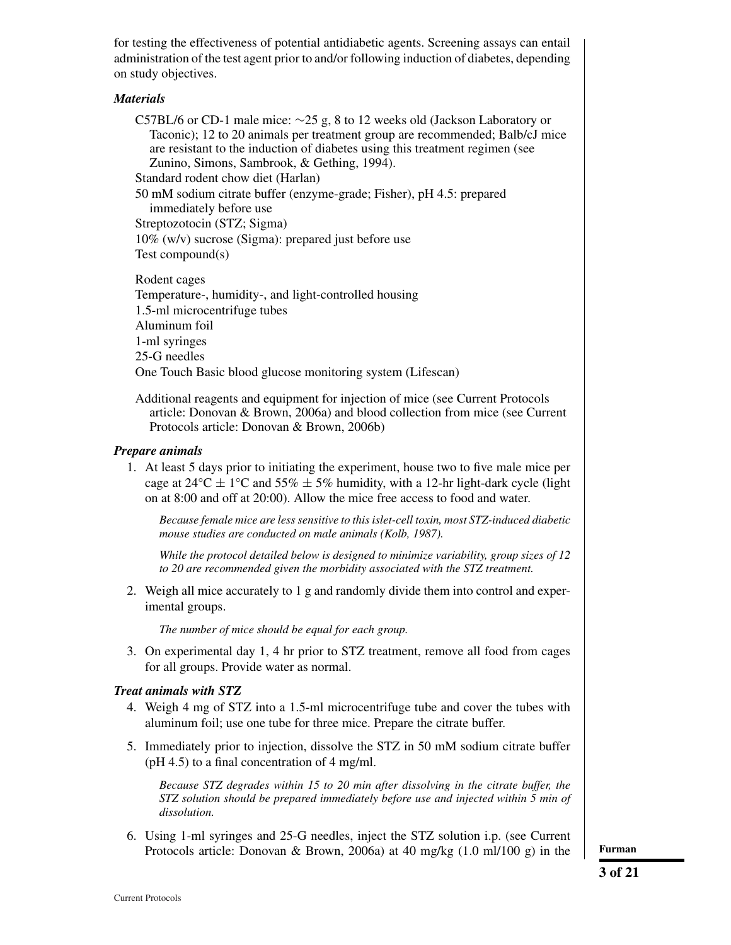for testing the effectiveness of potential antidiabetic agents. Screening assays can entail administration of the test agent prior to and/or following induction of diabetes, depending on study objectives.

# *Materials*

C57BL/6 or CD-1 male mice: ∼25 g, 8 to 12 weeks old (Jackson Laboratory or Taconic); 12 to 20 animals per treatment group are recommended; Balb/cJ mice are resistant to the induction of diabetes using this treatment regimen (see Zunino, Simons, Sambrook, & Gething, 1994).

Standard rodent chow diet (Harlan)

50 mM sodium citrate buffer (enzyme-grade; Fisher), pH 4.5: prepared immediately before use

Streptozotocin (STZ; Sigma)

10% (w/v) sucrose (Sigma): prepared just before use Test compound(s)

Rodent cages Temperature-, humidity-, and light-controlled housing 1.5-ml microcentrifuge tubes Aluminum foil 1-ml syringes 25-G needles One Touch Basic blood glucose monitoring system (Lifescan)

Additional reagents and equipment for injection of mice (see Current Protocols article: Donovan & Brown, 2006a) and blood collection from mice (see Current Protocols article: Donovan & Brown, 2006b)

## *Prepare animals*

1. At least 5 days prior to initiating the experiment, house two to five male mice per cage at  $24^{\circ}$ C  $\pm$  1°C and 55%  $\pm$  5% humidity, with a 12-hr light-dark cycle (light on at 8:00 and off at 20:00). Allow the mice free access to food and water.

*Because female mice are less sensitive to this islet-cell toxin, most STZ-induced diabetic mouse studies are conducted on male animals (Kolb, 1987).*

*While the protocol detailed below is designed to minimize variability, group sizes of 12 to 20 are recommended given the morbidity associated with the STZ treatment.*

2. Weigh all mice accurately to 1 g and randomly divide them into control and experimental groups.

*The number of mice should be equal for each group.*

3. On experimental day 1, 4 hr prior to STZ treatment, remove all food from cages for all groups. Provide water as normal.

# *Treat animals with STZ*

- 4. Weigh 4 mg of STZ into a 1.5-ml microcentrifuge tube and cover the tubes with aluminum foil; use one tube for three mice. Prepare the citrate buffer.
- 5. Immediately prior to injection, dissolve the STZ in 50 mM sodium citrate buffer (pH 4.5) to a final concentration of 4 mg/ml.

*Because STZ degrades within 15 to 20 min after dissolving in the citrate buffer, the STZ solution should be prepared immediately before use and injected within 5 min of dissolution.*

6. Using 1-ml syringes and 25-G needles, inject the STZ solution i.p. (see Current Protocols article: Donovan & Brown, 2006a) at 40 mg/kg (1.0 ml/100 g) in the **Furman**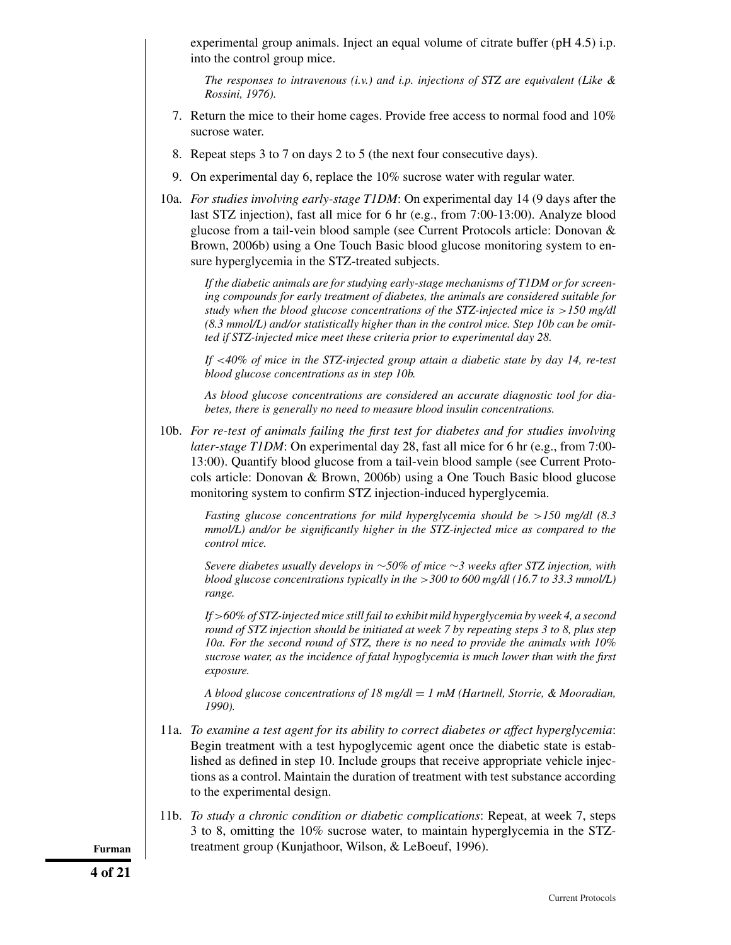experimental group animals. Inject an equal volume of citrate buffer (pH 4.5) i.p. into the control group mice.

*The responses to intravenous (i.v.) and i.p. injections of STZ are equivalent (Like & Rossini, 1976).*

- 7. Return the mice to their home cages. Provide free access to normal food and 10% sucrose water.
- 8. Repeat steps 3 to 7 on days 2 to 5 (the next four consecutive days).
- 9. On experimental day 6, replace the 10% sucrose water with regular water.
- 10a. *For studies involving early-stage T1DM*: On experimental day 14 (9 days after the last STZ injection), fast all mice for 6 hr (e.g., from 7:00-13:00). Analyze blood glucose from a tail-vein blood sample (see Current Protocols article: Donovan & Brown, 2006b) using a One Touch Basic blood glucose monitoring system to ensure hyperglycemia in the STZ-treated subjects.

*If the diabetic animals are for studying early-stage mechanisms of T1DM or for screening compounds for early treatment of diabetes, the animals are considered suitable for study when the blood glucose concentrations of the STZ-injected mice is*  $>150$  mg/dl *(8.3 mmol/L) and/or statistically higher than in the control mice. Step 10b can be omitted if STZ-injected mice meet these criteria prior to experimental day 28.*

*If* <*40% of mice in the STZ-injected group attain a diabetic state by day 14, re-test blood glucose concentrations as in step 10b.*

*As blood glucose concentrations are considered an accurate diagnostic tool for diabetes, there is generally no need to measure blood insulin concentrations.*

10b. *For re-test of animals failing the first test for diabetes and for studies involving later-stage T1DM*: On experimental day 28, fast all mice for 6 hr (e.g., from 7:00-13:00). Quantify blood glucose from a tail-vein blood sample (see Current Protocols article: Donovan & Brown, 2006b) using a One Touch Basic blood glucose monitoring system to confirm STZ injection-induced hyperglycemia.

*Fasting glucose concentrations for mild hyperglycemia should be* >*150 mg/dl (8.3 mmol/L) and/or be significantly higher in the STZ-injected mice as compared to the control mice.*

*Severe diabetes usually develops in* ∼*50% of mice* ∼*3 weeks after STZ injection, with blood glucose concentrations typically in the* >*300 to 600 mg/dl (16.7 to 33.3 mmol/L) range.*

*If* >*60% of STZ-injected mice still fail to exhibit mild hyperglycemia by week 4, a second round of STZ injection should be initiated at week 7 by repeating steps 3 to 8, plus step 10a. For the second round of STZ, there is no need to provide the animals with 10% sucrose water, as the incidence of fatal hypoglycemia is much lower than with the first exposure.*

*A blood glucose concentrations of 18 mg/dl* = *1 mM (Hartnell, Storrie, & Mooradian, 1990).*

- 11a. *To examine a test agent for its ability to correct diabetes or affect hyperglycemia*: Begin treatment with a test hypoglycemic agent once the diabetic state is established as defined in step 10. Include groups that receive appropriate vehicle injections as a control. Maintain the duration of treatment with test substance according to the experimental design.
- 11b. *To study a chronic condition or diabetic complications*: Repeat, at week 7, steps 3 to 8, omitting the 10% sucrose water, to maintain hyperglycemia in the STZ-**Furman** treatment group (Kunjathoor, Wilson, & LeBoeuf, 1996).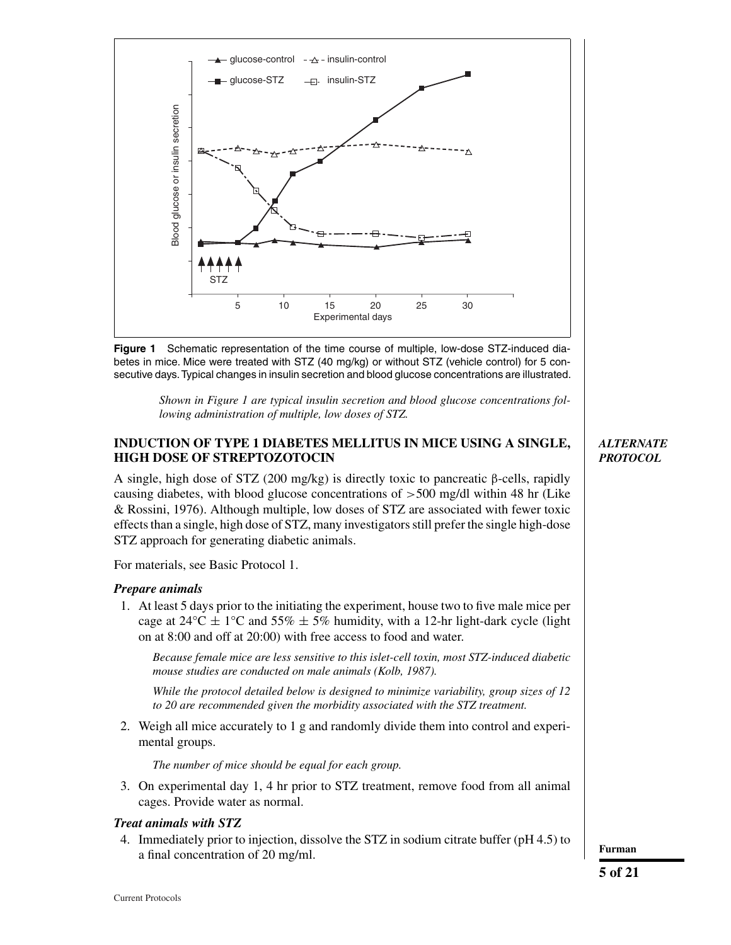



*Shown in Figure 1 are typical insulin secretion and blood glucose concentrations following administration of multiple, low doses of STZ.*

# **INDUCTION OF TYPE 1 DIABETES MELLITUS IN MICE USING A SINGLE, HIGH DOSE OF STREPTOZOTOCIN**

A single, high dose of STZ (200 mg/kg) is directly toxic to pancreatic  $\beta$ -cells, rapidly causing diabetes, with blood glucose concentrations of  $>500$  mg/dl within 48 hr (Like & Rossini, 1976). Although multiple, low doses of STZ are associated with fewer toxic effects than a single, high dose of STZ, many investigators still prefer the single high-dose STZ approach for generating diabetic animals.

For materials, see Basic Protocol 1.

# *Prepare animals*

1. At least 5 days prior to the initiating the experiment, house two to five male mice per cage at  $24^{\circ}$ C  $\pm$  1<sup>°</sup>C and 55%  $\pm$  5% humidity, with a 12-hr light-dark cycle (light on at 8:00 and off at 20:00) with free access to food and water.

*Because female mice are less sensitive to this islet-cell toxin, most STZ-induced diabetic mouse studies are conducted on male animals (Kolb, 1987).*

*While the protocol detailed below is designed to minimize variability, group sizes of 12 to 20 are recommended given the morbidity associated with the STZ treatment.*

2. Weigh all mice accurately to 1 g and randomly divide them into control and experimental groups.

*The number of mice should be equal for each group.*

3. On experimental day 1, 4 hr prior to STZ treatment, remove food from all animal cages. Provide water as normal.

## *Treat animals with STZ*

4. Immediately prior to injection, dissolve the STZ in sodium citrate buffer (pH 4.5) to a final concentration of 20 mg/ml.

# *ALTERNATE PROTOCOL*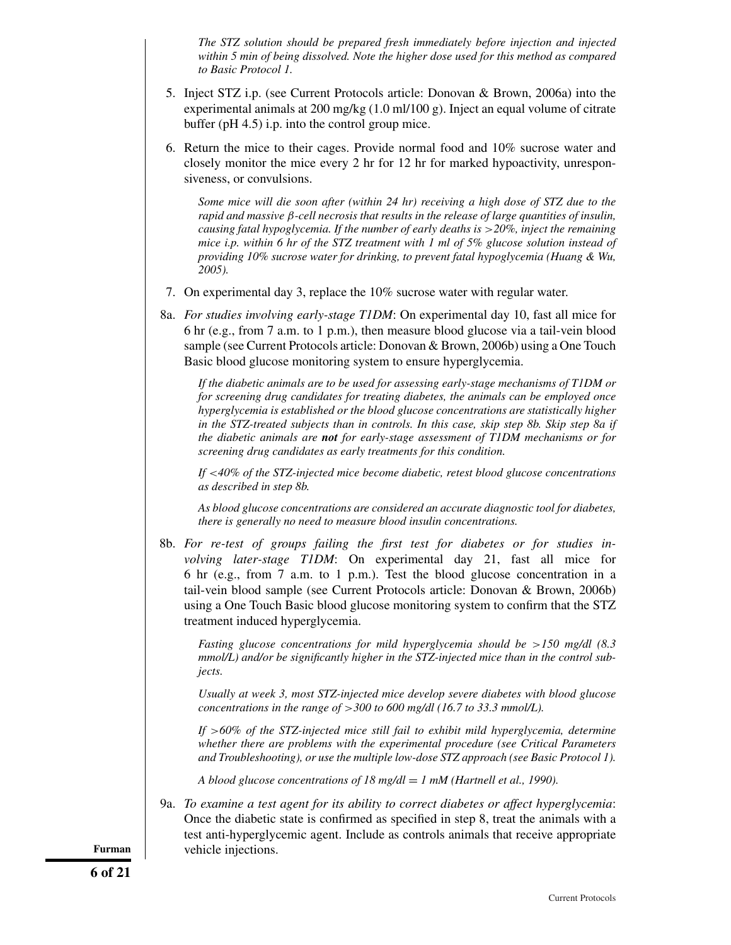*The STZ solution should be prepared fresh immediately before injection and injected within 5 min of being dissolved. Note the higher dose used for this method as compared to Basic Protocol 1.*

- 5. Inject STZ i.p. (see Current Protocols article: Donovan & Brown, 2006a) into the experimental animals at 200 mg/kg (1.0 ml/100 g). Inject an equal volume of citrate buffer (pH 4.5) i.p. into the control group mice.
- 6. Return the mice to their cages. Provide normal food and 10% sucrose water and closely monitor the mice every 2 hr for 12 hr for marked hypoactivity, unresponsiveness, or convulsions.

*Some mice will die soon after (within 24 hr) receiving a high dose of STZ due to the rapid and massive* β*-cell necrosis that results in the release of large quantities of insulin, causing fatal hypoglycemia. If the number of early deaths is* >*20%, inject the remaining mice i.p. within 6 hr of the STZ treatment with 1 ml of 5% glucose solution instead of providing 10% sucrose water for drinking, to prevent fatal hypoglycemia (Huang & Wu, 2005).*

- 7. On experimental day 3, replace the 10% sucrose water with regular water.
- 8a. *For studies involving early-stage T1DM*: On experimental day 10, fast all mice for 6 hr (e.g., from 7 a.m. to 1 p.m.), then measure blood glucose via a tail-vein blood sample (see Current Protocols article: Donovan & Brown, 2006b) using a One Touch Basic blood glucose monitoring system to ensure hyperglycemia.

*If the diabetic animals are to be used for assessing early-stage mechanisms of T1DM or for screening drug candidates for treating diabetes, the animals can be employed once hyperglycemia is established or the blood glucose concentrations are statistically higher in the STZ-treated subjects than in controls. In this case, skip step 8b. Skip step 8a if the diabetic animals are not for early-stage assessment of T1DM mechanisms or for screening drug candidates as early treatments for this condition.*

*If* <*40% of the STZ-injected mice become diabetic, retest blood glucose concentrations as described in step 8b.*

*As blood glucose concentrations are considered an accurate diagnostic tool for diabetes, there is generally no need to measure blood insulin concentrations.*

8b. *For re-test of groups failing the first test for diabetes or for studies involving later-stage T1DM*: On experimental day 21, fast all mice for 6 hr (e.g., from 7 a.m. to 1 p.m.). Test the blood glucose concentration in a tail-vein blood sample (see Current Protocols article: Donovan & Brown, 2006b) using a One Touch Basic blood glucose monitoring system to confirm that the STZ treatment induced hyperglycemia.

*Fasting glucose concentrations for mild hyperglycemia should be* >*150 mg/dl (8.3 mmol/L) and/or be significantly higher in the STZ-injected mice than in the control subjects.*

*Usually at week 3, most STZ-injected mice develop severe diabetes with blood glucose concentrations in the range of* >*300 to 600 mg/dl (16.7 to 33.3 mmol/L).*

*If* >*60% of the STZ-injected mice still fail to exhibit mild hyperglycemia, determine whether there are problems with the experimental procedure (see Critical Parameters and Troubleshooting), or use the multiple low-dose STZ approach (see Basic Protocol 1).*

*A blood glucose concentrations of 18 mg/dl* = *1 mM (Hartnell et al., 1990).*

9a. *To examine a test agent for its ability to correct diabetes or affect hyperglycemia*: Once the diabetic state is confirmed as specified in step 8, treat the animals with a test anti-hyperglycemic agent. Include as controls animals that receive appropriate **Furman** vehicle injections.

**6 of 21**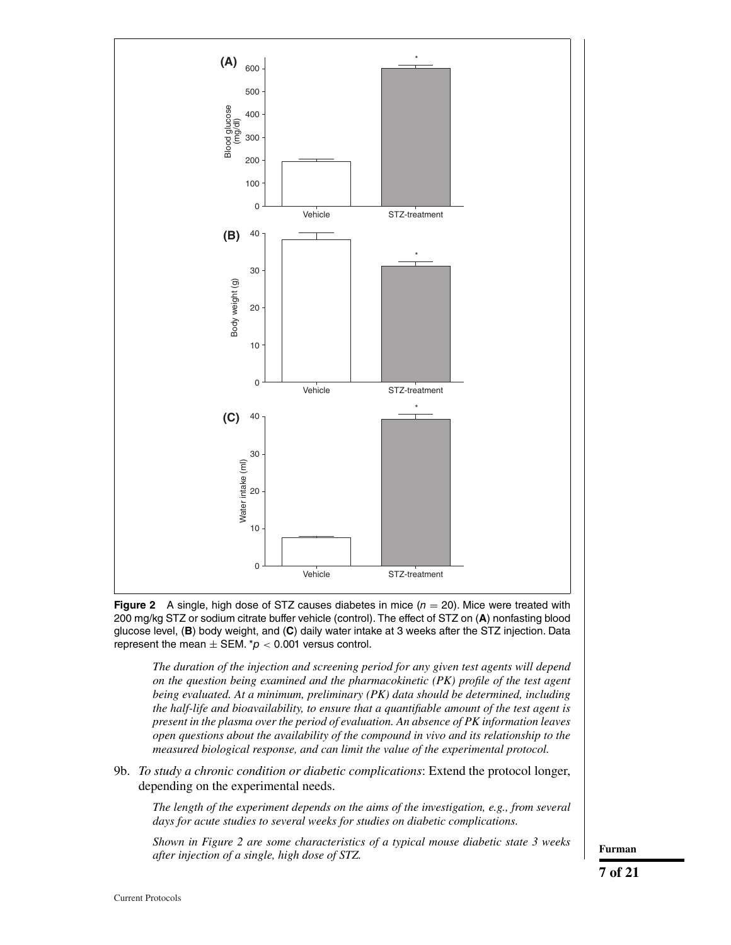

**Figure 2** A single, high dose of STZ causes diabetes in mice  $(n = 20)$ . Mice were treated with 200 mg/kg STZ or sodium citrate buffer vehicle (control). The effect of STZ on (**A**) nonfasting blood glucose level, (**B**) body weight, and (**C**) daily water intake at 3 weeks after the STZ injection. Data represent the mean  $\pm$  SEM.  $p < 0.001$  versus control.

*The duration of the injection and screening period for any given test agents will depend on the question being examined and the pharmacokinetic (PK) profile of the test agent being evaluated. At a minimum, preliminary (PK) data should be determined, including the half-life and bioavailability, to ensure that a quantifiable amount of the test agent is present in the plasma over the period of evaluation. An absence of PK information leaves open questions about the availability of the compound in vivo and its relationship to the measured biological response, and can limit the value of the experimental protocol.*

9b. *To study a chronic condition or diabetic complications*: Extend the protocol longer, depending on the experimental needs.

*The length of the experiment depends on the aims of the investigation, e.g., from several days for acute studies to several weeks for studies on diabetic complications.*

*Shown in Figure 2 are some characteristics of a typical mouse diabetic state 3 weeks after injection of a single, high dose of STZ.* **Furman**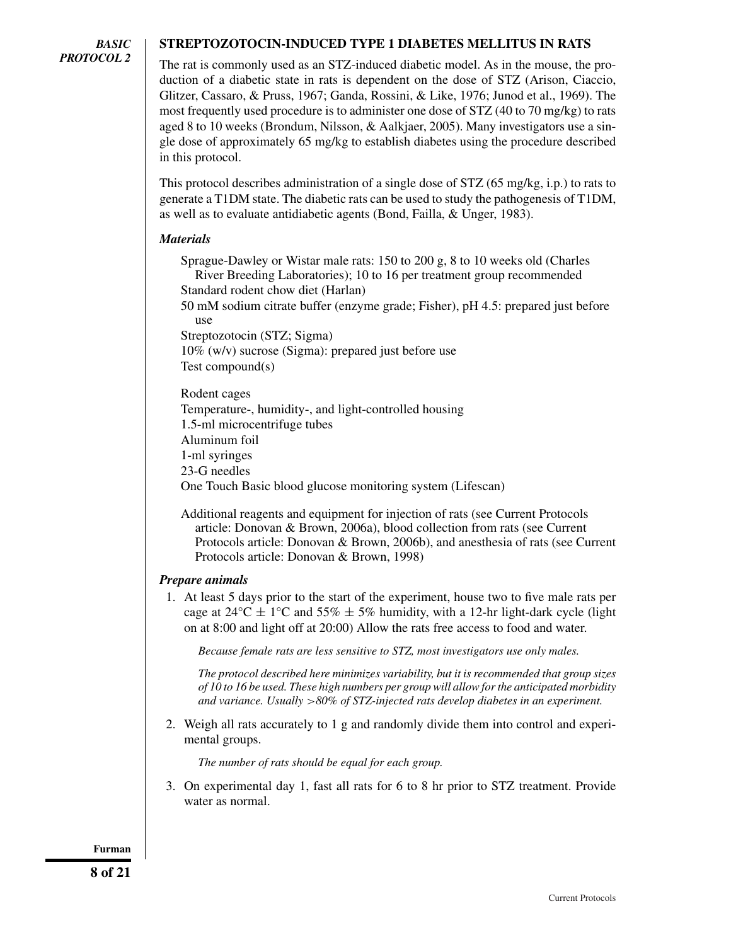# **STREPTOZOTOCIN-INDUCED TYPE 1 DIABETES MELLITUS IN RATS**

The rat is commonly used as an STZ-induced diabetic model. As in the mouse, the production of a diabetic state in rats is dependent on the dose of STZ (Arison, Ciaccio, Glitzer, Cassaro, & Pruss, 1967; Ganda, Rossini, & Like, 1976; Junod et al., 1969). The most frequently used procedure is to administer one dose of STZ (40 to 70 mg/kg) to rats aged 8 to 10 weeks (Brondum, Nilsson, & Aalkjaer, 2005). Many investigators use a single dose of approximately 65 mg/kg to establish diabetes using the procedure described in this protocol.

This protocol describes administration of a single dose of STZ (65 mg/kg, i.p.) to rats to generate a T1DM state. The diabetic rats can be used to study the pathogenesis of T1DM, as well as to evaluate antidiabetic agents (Bond, Failla, & Unger, 1983).

# *Materials*

Sprague-Dawley or Wistar male rats: 150 to 200 g, 8 to 10 weeks old (Charles River Breeding Laboratories); 10 to 16 per treatment group recommended Standard rodent chow diet (Harlan)

50 mM sodium citrate buffer (enzyme grade; Fisher), pH 4.5: prepared just before use

Streptozotocin (STZ; Sigma)

10% (w/v) sucrose (Sigma): prepared just before use Test compound(s)

Rodent cages Temperature-, humidity-, and light-controlled housing 1.5-ml microcentrifuge tubes Aluminum foil 1-ml syringes 23-G needles One Touch Basic blood glucose monitoring system (Lifescan)

Additional reagents and equipment for injection of rats (see Current Protocols article: Donovan & Brown, 2006a), blood collection from rats (see Current Protocols article: Donovan & Brown, 2006b), and anesthesia of rats (see Current Protocols article: Donovan & Brown, 1998)

# *Prepare animals*

1. At least 5 days prior to the start of the experiment, house two to five male rats per cage at  $24^{\circ}$ C  $\pm$  1<sup>o</sup>C and 55%  $\pm$  5% humidity, with a 12-hr light-dark cycle (light on at 8:00 and light off at 20:00) Allow the rats free access to food and water.

*Because female rats are less sensitive to STZ, most investigators use only males.*

*The protocol described here minimizes variability, but it is recommended that group sizes of 10 to 16 be used. These high numbers per group will allow for the anticipated morbidity and variance. Usually* >*80% of STZ-injected rats develop diabetes in an experiment.*

2. Weigh all rats accurately to 1 g and randomly divide them into control and experimental groups.

*The number of rats should be equal for each group.*

3. On experimental day 1, fast all rats for 6 to 8 hr prior to STZ treatment. Provide water as normal.

**Furman**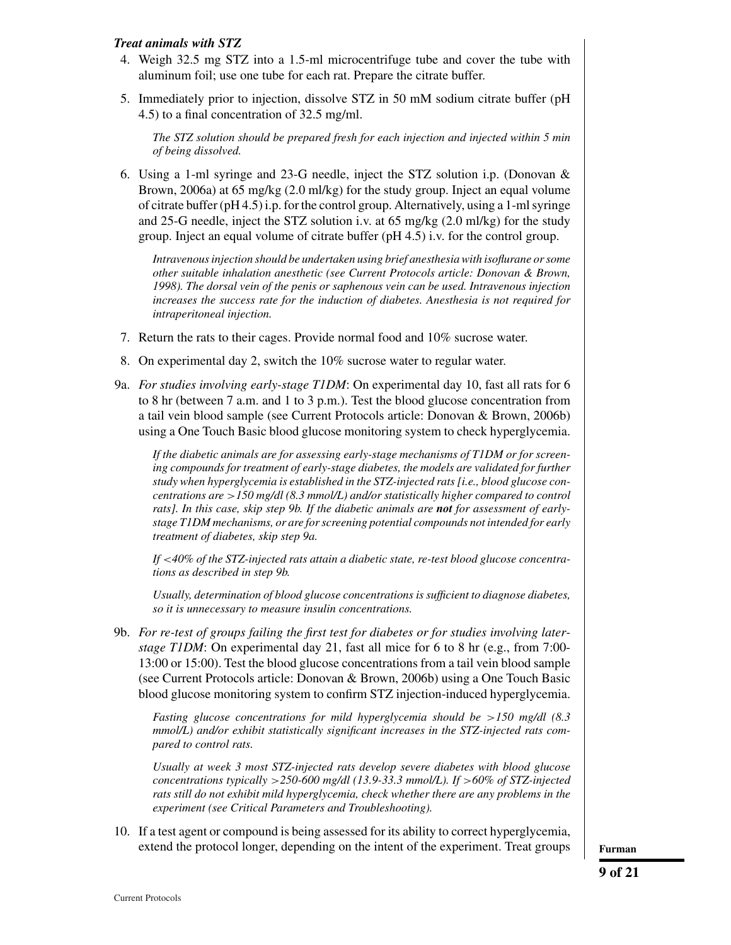# *Treat animals with STZ*

- 4. Weigh 32.5 mg STZ into a 1.5-ml microcentrifuge tube and cover the tube with aluminum foil; use one tube for each rat. Prepare the citrate buffer.
- 5. Immediately prior to injection, dissolve STZ in 50 mM sodium citrate buffer (pH 4.5) to a final concentration of 32.5 mg/ml.

*The STZ solution should be prepared fresh for each injection and injected within 5 min of being dissolved.*

6. Using a 1-ml syringe and 23-G needle, inject the STZ solution i.p. (Donovan & Brown, 2006a) at 65 mg/kg (2.0 ml/kg) for the study group. Inject an equal volume of citrate buffer (pH 4.5) i.p. for the control group. Alternatively, using a 1-ml syringe and 25-G needle, inject the STZ solution i.v. at 65 mg/kg (2.0 ml/kg) for the study group. Inject an equal volume of citrate buffer (pH 4.5) i.v. for the control group.

*Intravenous injection should be undertaken using brief anesthesia with isoflurane or some other suitable inhalation anesthetic (see Current Protocols article: Donovan & Brown, 1998). The dorsal vein of the penis or saphenous vein can be used. Intravenous injection increases the success rate for the induction of diabetes. Anesthesia is not required for intraperitoneal injection.*

- 7. Return the rats to their cages. Provide normal food and 10% sucrose water.
- 8. On experimental day 2, switch the 10% sucrose water to regular water.
- 9a. *For studies involving early-stage T1DM*: On experimental day 10, fast all rats for 6 to 8 hr (between 7 a.m. and 1 to 3 p.m.). Test the blood glucose concentration from a tail vein blood sample (see Current Protocols article: Donovan & Brown, 2006b) using a One Touch Basic blood glucose monitoring system to check hyperglycemia.

*If the diabetic animals are for assessing early-stage mechanisms of T1DM or for screening compounds for treatment of early-stage diabetes, the models are validated for further study when hyperglycemia is established in the STZ-injected rats [i.e., blood glucose concentrations are* >*150 mg/dl (8.3 mmol/L) and/or statistically higher compared to control rats]. In this case, skip step 9b. If the diabetic animals are not for assessment of earlystage T1DM mechanisms, or are for screening potential compounds not intended for early treatment of diabetes, skip step 9a.*

*If* <*40% of the STZ-injected rats attain a diabetic state, re-test blood glucose concentrations as described in step 9b.*

*Usually, determination of blood glucose concentrations is sufficient to diagnose diabetes, so it is unnecessary to measure insulin concentrations.*

9b. *For re-test of groups failing the first test for diabetes or for studies involving laterstage T1DM*: On experimental day 21, fast all mice for 6 to 8 hr (e.g., from 7:00- 13:00 or 15:00). Test the blood glucose concentrations from a tail vein blood sample (see Current Protocols article: Donovan & Brown, 2006b) using a One Touch Basic blood glucose monitoring system to confirm STZ injection-induced hyperglycemia.

*Fasting glucose concentrations for mild hyperglycemia should be* >*150 mg/dl (8.3 mmol/L) and/or exhibit statistically significant increases in the STZ-injected rats compared to control rats.*

*Usually at week 3 most STZ-injected rats develop severe diabetes with blood glucose concentrations typically* >*250-600 mg/dl (13.9-33.3 mmol/L). If* >*60% of STZ-injected rats still do not exhibit mild hyperglycemia, check whether there are any problems in the experiment (see Critical Parameters and Troubleshooting).*

10. If a test agent or compound is being assessed for its ability to correct hyperglycemia, extend the protocol longer, depending on the intent of the experiment. Treat groups **Furman**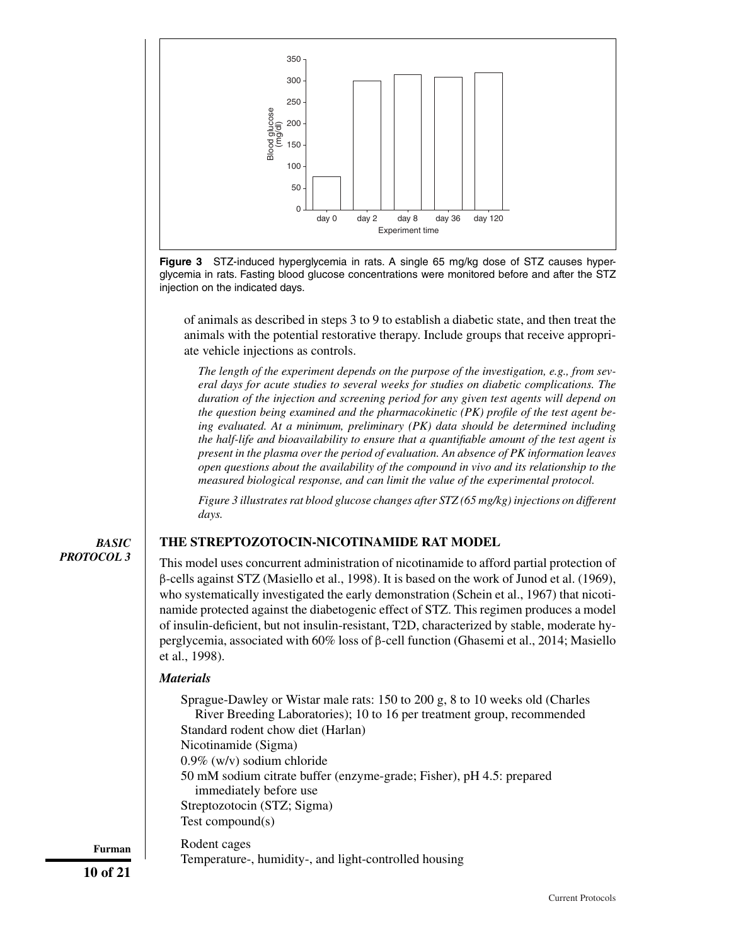

**Figure 3** STZ-induced hyperglycemia in rats. A single 65 mg/kg dose of STZ causes hyperglycemia in rats. Fasting blood glucose concentrations were monitored before and after the STZ injection on the indicated days.

of animals as described in steps 3 to 9 to establish a diabetic state, and then treat the animals with the potential restorative therapy. Include groups that receive appropriate vehicle injections as controls.

*The length of the experiment depends on the purpose of the investigation, e.g., from several days for acute studies to several weeks for studies on diabetic complications. The duration of the injection and screening period for any given test agents will depend on the question being examined and the pharmacokinetic (PK) profile of the test agent being evaluated. At a minimum, preliminary (PK) data should be determined including the half-life and bioavailability to ensure that a quantifiable amount of the test agent is present in the plasma over the period of evaluation. An absence of PK information leaves open questions about the availability of the compound in vivo and its relationship to the measured biological response, and can limit the value of the experimental protocol.*

*Figure 3 illustrates rat blood glucose changes after STZ (65 mg/kg) injections on different days.*

# *BASIC PROTOCOL 3*

# **THE STREPTOZOTOCIN-NICOTINAMIDE RAT MODEL**

This model uses concurrent administration of nicotinamide to afford partial protection of β-cells against STZ (Masiello et al., 1998). It is based on the work of Junod et al. (1969), who systematically investigated the early demonstration (Schein et al., 1967) that nicotinamide protected against the diabetogenic effect of STZ. This regimen produces a model of insulin-deficient, but not insulin-resistant, T2D, characterized by stable, moderate hyperglycemia, associated with 60% loss of β-cell function (Ghasemi et al., 2014; Masiello et al., 1998).

# *Materials*

Sprague-Dawley or Wistar male rats: 150 to 200 g, 8 to 10 weeks old (Charles River Breeding Laboratories); 10 to 16 per treatment group, recommended Standard rodent chow diet (Harlan) Nicotinamide (Sigma) 0.9% (w/v) sodium chloride 50 mM sodium citrate buffer (enzyme-grade; Fisher), pH 4.5: prepared immediately before use Streptozotocin (STZ; Sigma) Test compound(s) Rodent cages

Temperature-, humidity-, and light-controlled housing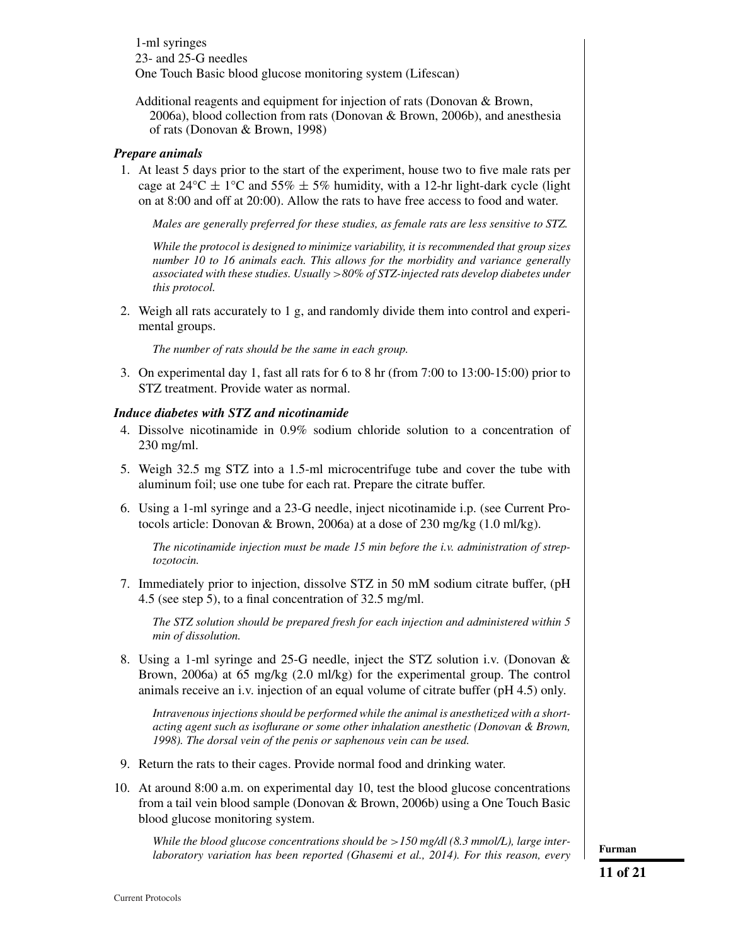1-ml syringes 23- and 25-G needles One Touch Basic blood glucose monitoring system (Lifescan)

Additional reagents and equipment for injection of rats (Donovan & Brown, 2006a), blood collection from rats (Donovan & Brown, 2006b), and anesthesia of rats (Donovan & Brown, 1998)

## *Prepare animals*

1. At least 5 days prior to the start of the experiment, house two to five male rats per cage at  $24^{\circ}$ C  $\pm$  1<sup>o</sup>C and 55%  $\pm$  5% humidity, with a 12-hr light-dark cycle (light on at 8:00 and off at 20:00). Allow the rats to have free access to food and water.

*Males are generally preferred for these studies, as female rats are less sensitive to STZ.*

*While the protocol is designed to minimize variability, it is recommended that group sizes number 10 to 16 animals each. This allows for the morbidity and variance generally associated with these studies. Usually* >*80% of STZ-injected rats develop diabetes under this protocol.*

2. Weigh all rats accurately to 1 g, and randomly divide them into control and experimental groups.

*The number of rats should be the same in each group.*

3. On experimental day 1, fast all rats for 6 to 8 hr (from 7:00 to 13:00-15:00) prior to STZ treatment. Provide water as normal.

# *Induce diabetes with STZ and nicotinamide*

- 4. Dissolve nicotinamide in 0.9% sodium chloride solution to a concentration of 230 mg/ml.
- 5. Weigh 32.5 mg STZ into a 1.5-ml microcentrifuge tube and cover the tube with aluminum foil; use one tube for each rat. Prepare the citrate buffer.
- 6. Using a 1-ml syringe and a 23-G needle, inject nicotinamide i.p. (see Current Protocols article: Donovan & Brown, 2006a) at a dose of 230 mg/kg (1.0 ml/kg).

*The nicotinamide injection must be made 15 min before the i.v. administration of streptozotocin.*

7. Immediately prior to injection, dissolve STZ in 50 mM sodium citrate buffer, (pH 4.5 (see step 5), to a final concentration of 32.5 mg/ml.

*The STZ solution should be prepared fresh for each injection and administered within 5 min of dissolution.*

8. Using a 1-ml syringe and 25-G needle, inject the STZ solution i.v. (Donovan & Brown, 2006a) at 65 mg/kg (2.0 ml/kg) for the experimental group. The control animals receive an i.v. injection of an equal volume of citrate buffer (pH 4.5) only.

*Intravenous injections should be performed while the animal is anesthetized with a shortacting agent such as isoflurane or some other inhalation anesthetic (Donovan & Brown, 1998). The dorsal vein of the penis or saphenous vein can be used.*

- 9. Return the rats to their cages. Provide normal food and drinking water.
- 10. At around 8:00 a.m. on experimental day 10, test the blood glucose concentrations from a tail vein blood sample (Donovan & Brown, 2006b) using a One Touch Basic blood glucose monitoring system.

*While the blood glucose concentrations should be* >*150 mg/dl (8.3 mmol/L), large interlaboratory variation has been reported (Ghasemi et al., 2014). For this reason, every* **Furman**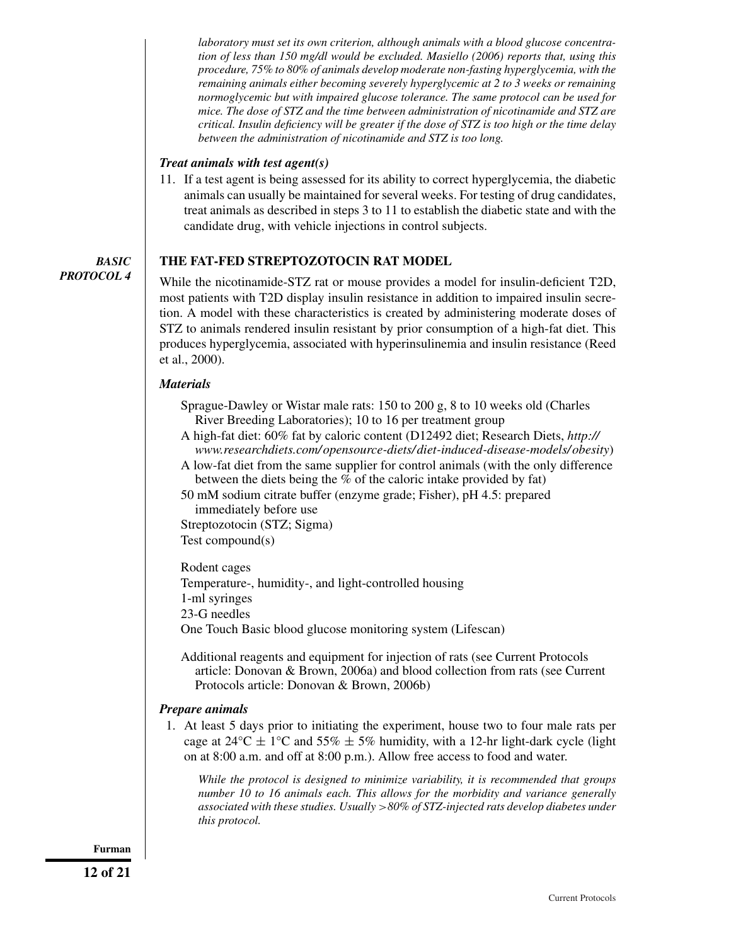*laboratory must set its own criterion, although animals with a blood glucose concentration of less than 150 mg/dl would be excluded. Masiello (2006) reports that, using this procedure, 75% to 80% of animals develop moderate non-fasting hyperglycemia, with the remaining animals either becoming severely hyperglycemic at 2 to 3 weeks or remaining normoglycemic but with impaired glucose tolerance. The same protocol can be used for mice. The dose of STZ and the time between administration of nicotinamide and STZ are critical. Insulin deficiency will be greater if the dose of STZ is too high or the time delay between the administration of nicotinamide and STZ is too long.*

# *Treat animals with test agent(s)*

11. If a test agent is being assessed for its ability to correct hyperglycemia, the diabetic animals can usually be maintained for several weeks. For testing of drug candidates, treat animals as described in steps 3 to 11 to establish the diabetic state and with the candidate drug, with vehicle injections in control subjects.

# **THE FAT-FED STREPTOZOTOCIN RAT MODEL**

*PROTOCOL 4*

*BASIC*

While the nicotinamide-STZ rat or mouse provides a model for insulin-deficient T2D, most patients with T2D display insulin resistance in addition to impaired insulin secretion. A model with these characteristics is created by administering moderate doses of STZ to animals rendered insulin resistant by prior consumption of a high-fat diet. This produces hyperglycemia, associated with hyperinsulinemia and insulin resistance (Reed et al., 2000).

## *Materials*

Sprague-Dawley or Wistar male rats: 150 to 200 g, 8 to 10 weeks old (Charles River Breeding Laboratories); 10 to 16 per treatment group

- A high-fat diet: 60% fat by caloric content (D12492 diet; Research Diets, *[http://](http://www.researchdiets.com/opensource-diets/diet-induced-disease-models/obesity) [www.researchdiets.com/ opensource-diets/ diet-induced-disease-models/ obesity](http://www.researchdiets.com/opensource-diets/diet-induced-disease-models/obesity)*)
- A low-fat diet from the same supplier for control animals (with the only difference between the diets being the % of the caloric intake provided by fat)

50 mM sodium citrate buffer (enzyme grade; Fisher), pH 4.5: prepared immediately before use

Streptozotocin (STZ; Sigma)

Test compound(s)

Rodent cages

Temperature-, humidity-, and light-controlled housing

1-ml syringes

23-G needles

One Touch Basic blood glucose monitoring system (Lifescan)

Additional reagents and equipment for injection of rats (see Current Protocols article: Donovan & Brown, 2006a) and blood collection from rats (see Current Protocols article: Donovan & Brown, 2006b)

# *Prepare animals*

1. At least 5 days prior to initiating the experiment, house two to four male rats per cage at  $24^{\circ}\text{C} \pm 1^{\circ}\text{C}$  and  $55\% \pm 5\%$  humidity, with a 12-hr light-dark cycle (light on at 8:00 a.m. and off at 8:00 p.m.). Allow free access to food and water.

*While the protocol is designed to minimize variability, it is recommended that groups number 10 to 16 animals each. This allows for the morbidity and variance generally associated with these studies. Usually* >*80% of STZ-injected rats develop diabetes under this protocol.*

**Furman**

**12 of 21**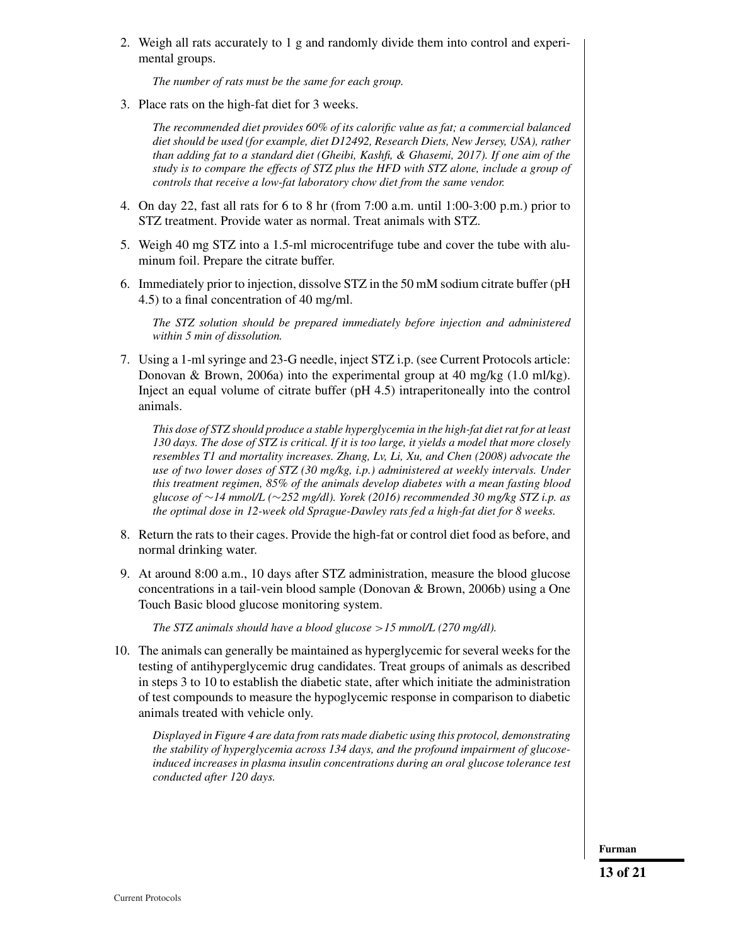2. Weigh all rats accurately to 1 g and randomly divide them into control and experimental groups.

*The number of rats must be the same for each group.*

3. Place rats on the high-fat diet for 3 weeks.

*The recommended diet provides 60% of its calorific value as fat; a commercial balanced diet should be used (for example, diet D12492, Research Diets, New Jersey, USA), rather than adding fat to a standard diet (Gheibi, Kashfi, & Ghasemi, 2017). If one aim of the study is to compare the effects of STZ plus the HFD with STZ alone, include a group of controls that receive a low-fat laboratory chow diet from the same vendor.*

- 4. On day 22, fast all rats for 6 to 8 hr (from 7:00 a.m. until 1:00-3:00 p.m.) prior to STZ treatment. Provide water as normal. Treat animals with STZ.
- 5. Weigh 40 mg STZ into a 1.5-ml microcentrifuge tube and cover the tube with aluminum foil. Prepare the citrate buffer.
- 6. Immediately prior to injection, dissolve STZ in the 50 mM sodium citrate buffer (pH 4.5) to a final concentration of 40 mg/ml.

*The STZ solution should be prepared immediately before injection and administered within 5 min of dissolution.*

7. Using a 1-ml syringe and 23-G needle, inject STZ i.p. (see Current Protocols article: Donovan & Brown, 2006a) into the experimental group at 40 mg/kg  $(1.0 \text{ ml/kg})$ . Inject an equal volume of citrate buffer (pH 4.5) intraperitoneally into the control animals.

*This dose of STZ should produce a stable hyperglycemia in the high-fat diet rat for at least 130 days. The dose of STZ is critical. If it is too large, it yields a model that more closely resembles T1 and mortality increases. Zhang, Lv, Li, Xu, and Chen (2008) advocate the use of two lower doses of STZ (30 mg/kg, i.p.) administered at weekly intervals. Under this treatment regimen, 85% of the animals develop diabetes with a mean fasting blood glucose of* ∼*14 mmol/L (*∼*252 mg/dl). Yorek (2016) recommended 30 mg/kg STZ i.p. as the optimal dose in 12-week old Sprague-Dawley rats fed a high-fat diet for 8 weeks.*

- 8. Return the rats to their cages. Provide the high-fat or control diet food as before, and normal drinking water.
- 9. At around 8:00 a.m., 10 days after STZ administration, measure the blood glucose concentrations in a tail-vein blood sample (Donovan & Brown, 2006b) using a One Touch Basic blood glucose monitoring system.

*The STZ animals should have a blood glucose* >*15 mmol/L (270 mg/dl).*

10. The animals can generally be maintained as hyperglycemic for several weeks for the testing of antihyperglycemic drug candidates. Treat groups of animals as described in steps 3 to 10 to establish the diabetic state, after which initiate the administration of test compounds to measure the hypoglycemic response in comparison to diabetic animals treated with vehicle only.

*Displayed in Figure 4 are data from rats made diabetic using this protocol, demonstrating the stability of hyperglycemia across 134 days, and the profound impairment of glucoseinduced increases in plasma insulin concentrations during an oral glucose tolerance test conducted after 120 days.*

**Furman**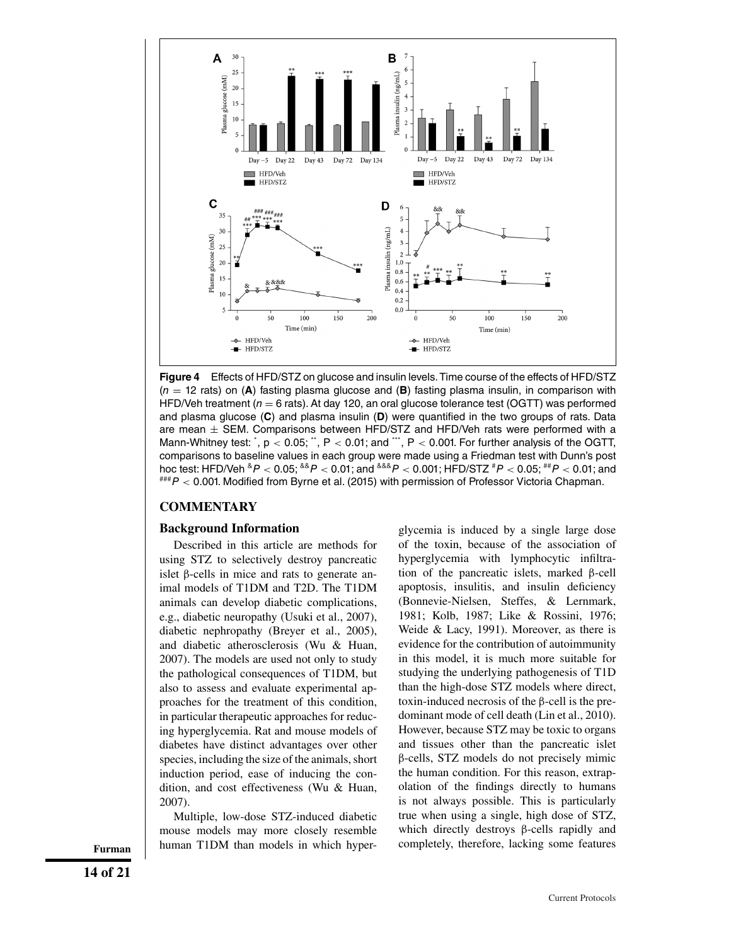

**Figure 4** Effects of HFD/STZ on glucose and insulin levels. Time course of the effects of HFD/STZ  $(n = 12$  rats) on (A) fasting plasma glucose and (B) fasting plasma insulin, in comparison with HFD/Veh treatment ( $n = 6$  rats). At day 120, an oral glucose tolerance test (OGTT) was performed and plasma glucose (**C**) and plasma insulin (**D**) were quantified in the two groups of rats. Data are mean  $\pm$  SEM. Comparisons between HFD/STZ and HFD/Veh rats were performed with a Mann-Whitney test:  $\dot{\,}$ , p  $<$  0.05;  $\ddot{\,}$ , P  $<$  0.01; and  $\dddot{\,}$  , P  $<$  0.001. For further analysis of the OGTT, comparisons to baseline values in each group were made using a Friedman test with Dunn's post hoc test: HFD/Veh  ${}^{8}P < 0.05$ ;  ${}^{88}P < 0.01$ ; and  ${}^{888}P < 0.001$ ; HFD/STZ  ${}^{#}P < 0.05$ ;  ${}^{#}P < 0.01$ ; and  $H^{\#H}P < 0.001$ . Modified from Byrne et al. (2015) with permission of Professor Victoria Chapman.

## **COMMENTARY**

## **Background Information**

Described in this article are methods for using STZ to selectively destroy pancreatic islet β-cells in mice and rats to generate animal models of T1DM and T2D. The T1DM animals can develop diabetic complications, e.g., diabetic neuropathy (Usuki et al., 2007), diabetic nephropathy (Breyer et al., 2005), and diabetic atherosclerosis (Wu & Huan, 2007). The models are used not only to study the pathological consequences of T1DM, but also to assess and evaluate experimental approaches for the treatment of this condition, in particular therapeutic approaches for reducing hyperglycemia. Rat and mouse models of diabetes have distinct advantages over other species, including the size of the animals, short induction period, ease of inducing the condition, and cost effectiveness (Wu & Huan, 2007).

Multiple, low-dose STZ-induced diabetic mouse models may more closely resemble Furman **human T1DM** than models in which hyper- completely, therefore, lacking some features

glycemia is induced by a single large dose of the toxin, because of the association of hyperglycemia with lymphocytic infiltration of the pancreatic islets, marked β-cell apoptosis, insulitis, and insulin deficiency (Bonnevie-Nielsen, Steffes, & Lernmark, 1981; Kolb, 1987; Like & Rossini, 1976; Weide & Lacy, 1991). Moreover, as there is evidence for the contribution of autoimmunity in this model, it is much more suitable for studying the underlying pathogenesis of T1D than the high-dose STZ models where direct, toxin-induced necrosis of the β-cell is the predominant mode of cell death (Lin et al., 2010). However, because STZ may be toxic to organs and tissues other than the pancreatic islet β-cells, STZ models do not precisely mimic the human condition. For this reason, extrapolation of the findings directly to humans is not always possible. This is particularly true when using a single, high dose of STZ, which directly destroys β-cells rapidly and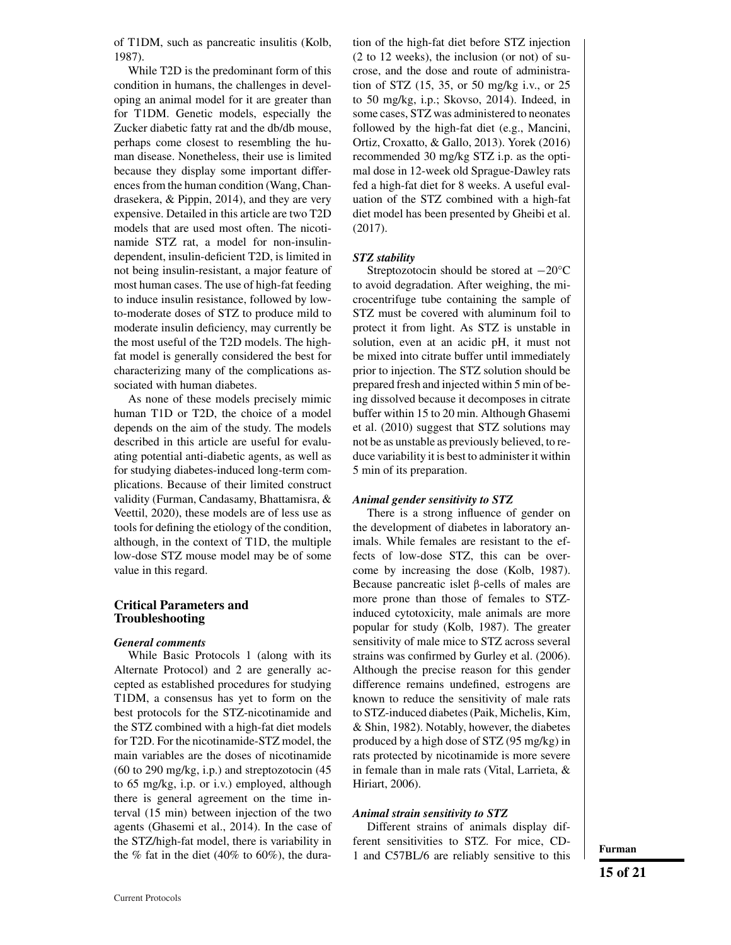of T1DM, such as pancreatic insulitis (Kolb, 1987).

While T2D is the predominant form of this condition in humans, the challenges in developing an animal model for it are greater than for T1DM. Genetic models, especially the Zucker diabetic fatty rat and the db/db mouse, perhaps come closest to resembling the human disease. Nonetheless, their use is limited because they display some important differences from the human condition (Wang, Chandrasekera, & Pippin, 2014), and they are very expensive. Detailed in this article are two T2D models that are used most often. The nicotinamide STZ rat, a model for non-insulindependent, insulin-deficient T2D, is limited in not being insulin-resistant, a major feature of most human cases. The use of high-fat feeding to induce insulin resistance, followed by lowto-moderate doses of STZ to produce mild to moderate insulin deficiency, may currently be the most useful of the T2D models. The highfat model is generally considered the best for characterizing many of the complications associated with human diabetes.

As none of these models precisely mimic human T1D or T2D, the choice of a model depends on the aim of the study. The models described in this article are useful for evaluating potential anti-diabetic agents, as well as for studying diabetes-induced long-term complications. Because of their limited construct validity (Furman, Candasamy, Bhattamisra, & Veettil, 2020), these models are of less use as tools for defining the etiology of the condition, although, in the context of T1D, the multiple low-dose STZ mouse model may be of some value in this regard.

## **Critical Parameters and Troubleshooting**

#### *General comments*

While Basic Protocols 1 (along with its Alternate Protocol) and 2 are generally accepted as established procedures for studying T1DM, a consensus has yet to form on the best protocols for the STZ-nicotinamide and the STZ combined with a high-fat diet models for T2D. For the nicotinamide-STZ model, the main variables are the doses of nicotinamide (60 to 290 mg/kg, i.p.) and streptozotocin (45 to 65 mg/kg, i.p. or i.v.) employed, although there is general agreement on the time interval (15 min) between injection of the two agents (Ghasemi et al., 2014). In the case of the STZ/high-fat model, there is variability in the  $%$  fat in the diet (40% to 60%), the duration of the high-fat diet before STZ injection (2 to 12 weeks), the inclusion (or not) of sucrose, and the dose and route of administration of STZ (15, 35, or 50 mg/kg i.v., or 25 to 50 mg/kg, i.p.; Skovso, 2014). Indeed, in some cases, STZ was administered to neonates followed by the high-fat diet (e.g., Mancini, Ortiz, Croxatto, & Gallo, 2013). Yorek (2016) recommended 30 mg/kg STZ i.p. as the optimal dose in 12-week old Sprague-Dawley rats fed a high-fat diet for 8 weeks. A useful evaluation of the STZ combined with a high-fat diet model has been presented by Gheibi et al. (2017).

#### *STZ stability*

Streptozotocin should be stored at −20°C to avoid degradation. After weighing, the microcentrifuge tube containing the sample of STZ must be covered with aluminum foil to protect it from light. As STZ is unstable in solution, even at an acidic pH, it must not be mixed into citrate buffer until immediately prior to injection. The STZ solution should be prepared fresh and injected within 5 min of being dissolved because it decomposes in citrate buffer within 15 to 20 min. Although Ghasemi et al. (2010) suggest that STZ solutions may not be as unstable as previously believed, to reduce variability it is best to administer it within 5 min of its preparation.

#### *Animal gender sensitivity to STZ*

There is a strong influence of gender on the development of diabetes in laboratory animals. While females are resistant to the effects of low-dose STZ, this can be overcome by increasing the dose (Kolb, 1987). Because pancreatic islet β-cells of males are more prone than those of females to STZinduced cytotoxicity, male animals are more popular for study (Kolb, 1987). The greater sensitivity of male mice to STZ across several strains was confirmed by Gurley et al. (2006). Although the precise reason for this gender difference remains undefined, estrogens are known to reduce the sensitivity of male rats to STZ-induced diabetes (Paik, Michelis, Kim, & Shin, 1982). Notably, however, the diabetes produced by a high dose of STZ (95 mg/kg) in rats protected by nicotinamide is more severe in female than in male rats (Vital, Larrieta, & Hiriart, 2006).

#### *Animal strain sensitivity to STZ*

Different strains of animals display different sensitivities to STZ. For mice, CD-1 and C57BL/6 are reliably sensitive to this **Furman**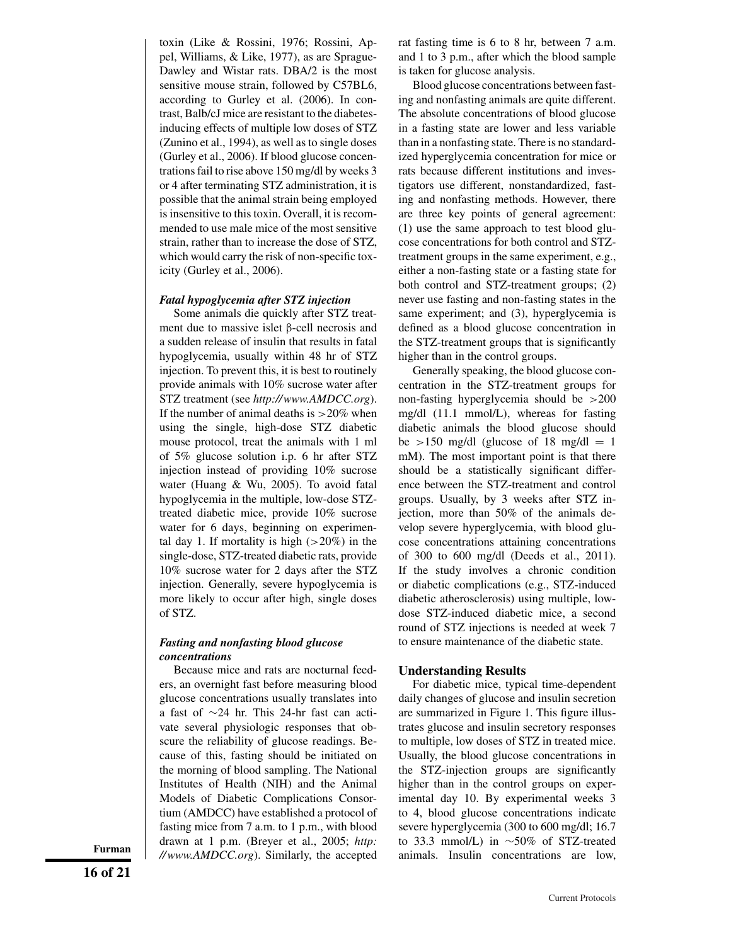toxin (Like & Rossini, 1976; Rossini, Appel, Williams, & Like, 1977), as are Sprague-Dawley and Wistar rats. DBA/2 is the most sensitive mouse strain, followed by C57BL6, according to Gurley et al. (2006). In contrast, Balb/cJ mice are resistant to the diabetesinducing effects of multiple low doses of STZ (Zunino et al., 1994), as well as to single doses (Gurley et al., 2006). If blood glucose concentrations fail to rise above 150 mg/dl by weeks 3 or 4 after terminating STZ administration, it is possible that the animal strain being employed is insensitive to this toxin. Overall, it is recommended to use male mice of the most sensitive strain, rather than to increase the dose of STZ, which would carry the risk of non-specific toxicity (Gurley et al., 2006).

## *Fatal hypoglycemia after STZ injection*

Some animals die quickly after STZ treatment due to massive islet β-cell necrosis and a sudden release of insulin that results in fatal hypoglycemia, usually within 48 hr of STZ injection. To prevent this, it is best to routinely provide animals with 10% sucrose water after STZ treatment (see *<http://www.AMDCC.org>*). If the number of animal deaths is  $>20\%$  when using the single, high-dose STZ diabetic mouse protocol, treat the animals with 1 ml of 5% glucose solution i.p. 6 hr after STZ injection instead of providing 10% sucrose water (Huang & Wu, 2005). To avoid fatal hypoglycemia in the multiple, low-dose STZtreated diabetic mice, provide 10% sucrose water for 6 days, beginning on experimental day 1. If mortality is high  $(>20\%)$  in the single-dose, STZ-treated diabetic rats, provide 10% sucrose water for 2 days after the STZ injection. Generally, severe hypoglycemia is more likely to occur after high, single doses of STZ.

## *Fasting and nonfasting blood glucose concentrations*

Because mice and rats are nocturnal feeders, an overnight fast before measuring blood glucose concentrations usually translates into a fast of ∼24 hr. This 24-hr fast can activate several physiologic responses that obscure the reliability of glucose readings. Because of this, fasting should be initiated on the morning of blood sampling. The National Institutes of Health (NIH) and the Animal Models of Diabetic Complications Consortium (AMDCC) have established a protocol of fasting mice from 7 a.m. to 1 p.m., with blood drawn at 1 p.m. (Breyer et al., 2005; *[http:](http://www.AMDCC.org)* **Furman** //www.*AMDCC.org*). Similarly, the accepted animals. Insulin concentrations are low,

rat fasting time is 6 to 8 hr, between 7 a.m. and 1 to 3 p.m., after which the blood sample is taken for glucose analysis.

Blood glucose concentrations between fasting and nonfasting animals are quite different. The absolute concentrations of blood glucose in a fasting state are lower and less variable than in a nonfasting state. There is no standardized hyperglycemia concentration for mice or rats because different institutions and investigators use different, nonstandardized, fasting and nonfasting methods. However, there are three key points of general agreement: (1) use the same approach to test blood glucose concentrations for both control and STZtreatment groups in the same experiment, e.g., either a non-fasting state or a fasting state for both control and STZ-treatment groups; (2) never use fasting and non-fasting states in the same experiment; and (3), hyperglycemia is defined as a blood glucose concentration in the STZ-treatment groups that is significantly higher than in the control groups.

Generally speaking, the blood glucose concentration in the STZ-treatment groups for non-fasting hyperglycemia should be >200 mg/dl (11.1 mmol/L), whereas for fasting diabetic animals the blood glucose should be  $>150$  mg/dl (glucose of 18 mg/dl = 1 mM). The most important point is that there should be a statistically significant difference between the STZ-treatment and control groups. Usually, by 3 weeks after STZ injection, more than 50% of the animals develop severe hyperglycemia, with blood glucose concentrations attaining concentrations of 300 to 600 mg/dl (Deeds et al., 2011). If the study involves a chronic condition or diabetic complications (e.g., STZ-induced diabetic atherosclerosis) using multiple, lowdose STZ-induced diabetic mice, a second round of STZ injections is needed at week 7 to ensure maintenance of the diabetic state.

#### **Understanding Results**

For diabetic mice, typical time-dependent daily changes of glucose and insulin secretion are summarized in Figure 1. This figure illustrates glucose and insulin secretory responses to multiple, low doses of STZ in treated mice. Usually, the blood glucose concentrations in the STZ-injection groups are significantly higher than in the control groups on experimental day 10. By experimental weeks 3 to 4, blood glucose concentrations indicate severe hyperglycemia (300 to 600 mg/dl; 16.7 to 33.3 mmol/L) in  $\sim$ 50% of STZ-treated animals. Insulin concentrations are low,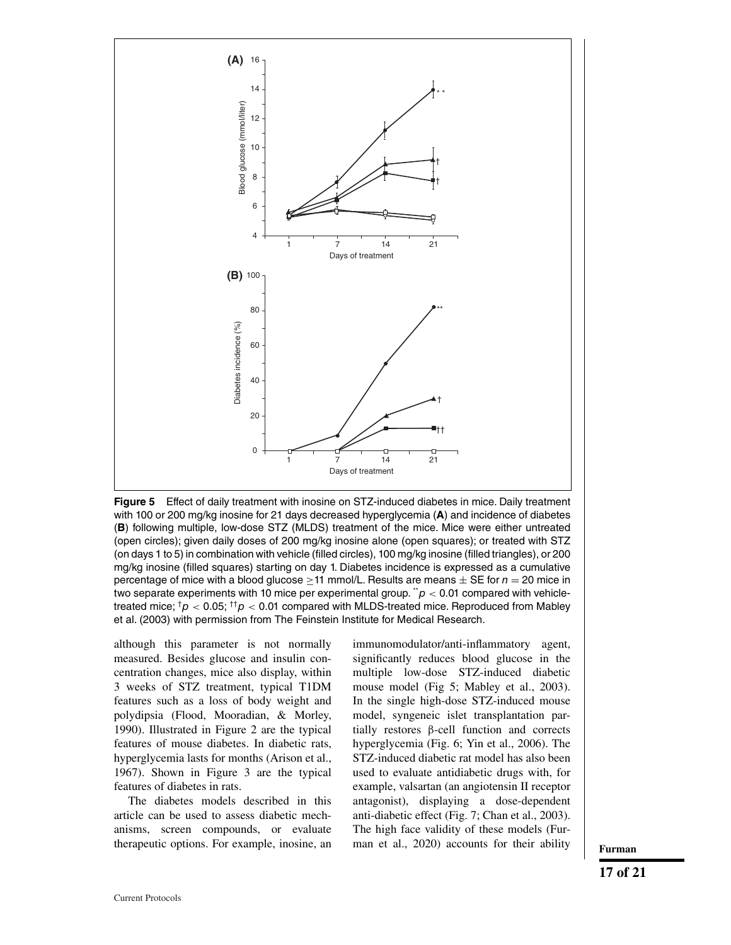

**Figure 5** Effect of daily treatment with inosine on STZ-induced diabetes in mice. Daily treatment with 100 or 200 mg/kg inosine for 21 days decreased hyperglycemia (**A**) and incidence of diabetes (**B**) following multiple, low-dose STZ (MLDS) treatment of the mice. Mice were either untreated (open circles); given daily doses of 200 mg/kg inosine alone (open squares); or treated with STZ (on days 1 to 5) in combination with vehicle (filled circles), 100 mg/kg inosine (filled triangles), or 200 mg/kg inosine (filled squares) starting on day 1. Diabetes incidence is expressed as a cumulative percentage of mice with a blood glucose  $\geq 11$  mmol/L. Results are means  $\pm$  SE for  $n = 20$  mice in two separate experiments with 10 mice per experimental group.  $\ddot{\cdot} p < 0.01$  compared with vehicletreated mice;  $\frac{1}{p}$  < 0.05;  $\frac{1}{p}$  < 0.01 compared with MLDS-treated mice. Reproduced from Mabley et al. (2003) with permission from The Feinstein Institute for Medical Research.

although this parameter is not normally measured. Besides glucose and insulin concentration changes, mice also display, within 3 weeks of STZ treatment, typical T1DM features such as a loss of body weight and polydipsia (Flood, Mooradian, & Morley, 1990). Illustrated in Figure 2 are the typical features of mouse diabetes. In diabetic rats, hyperglycemia lasts for months (Arison et al., 1967). Shown in Figure 3 are the typical features of diabetes in rats.

The diabetes models described in this article can be used to assess diabetic mechanisms, screen compounds, or evaluate therapeutic options. For example, inosine, an immunomodulator/anti-inflammatory agent, significantly reduces blood glucose in the multiple low-dose STZ-induced diabetic mouse model (Fig 5; Mabley et al., 2003). In the single high-dose STZ-induced mouse model, syngeneic islet transplantation partially restores β-cell function and corrects hyperglycemia (Fig. 6; Yin et al., 2006). The STZ-induced diabetic rat model has also been used to evaluate antidiabetic drugs with, for example, valsartan (an angiotensin II receptor antagonist), displaying a dose-dependent anti-diabetic effect (Fig. 7; Chan et al., 2003). The high face validity of these models (Furman et al., 2020) accounts for their ability **Furman**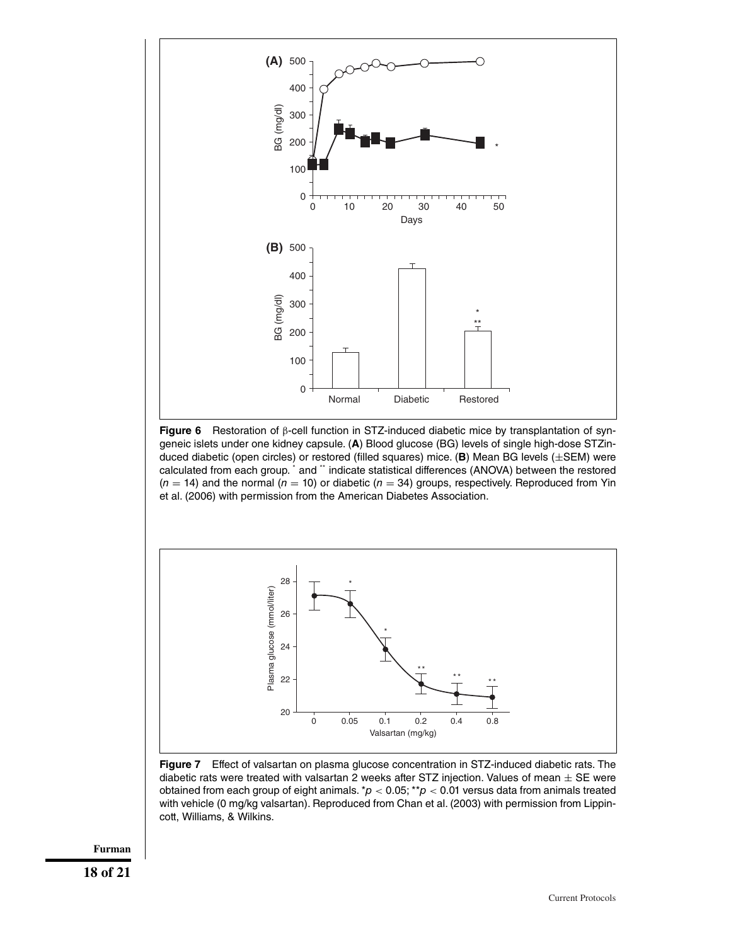

**Figure 6** Restoration of β-cell function in STZ-induced diabetic mice by transplantation of syngeneic islets under one kidney capsule. (**A**) Blood glucose (BG) levels of single high-dose STZinduced diabetic (open circles) or restored (filled squares) mice. (**B**) Mean BG levels (±SEM) were calculated from each group. \* and \*\* indicate statistical differences (ANOVA) between the restored  $(n = 14)$  and the normal  $(n = 10)$  or diabetic  $(n = 34)$  groups, respectively. Reproduced from Yin et al. (2006) with permission from the American Diabetes Association.



**Figure 7** Effect of valsartan on plasma glucose concentration in STZ-induced diabetic rats. The diabetic rats were treated with valsartan 2 weeks after STZ injection. Values of mean  $\pm$  SE were obtained from each group of eight animals. \* $p < 0.05$ ; \*\* $p < 0.01$  versus data from animals treated with vehicle (0 mg/kg valsartan). Reproduced from Chan et al. (2003) with permission from Lippincott, Williams, & Wilkins.

**Furman**

**18 of 21**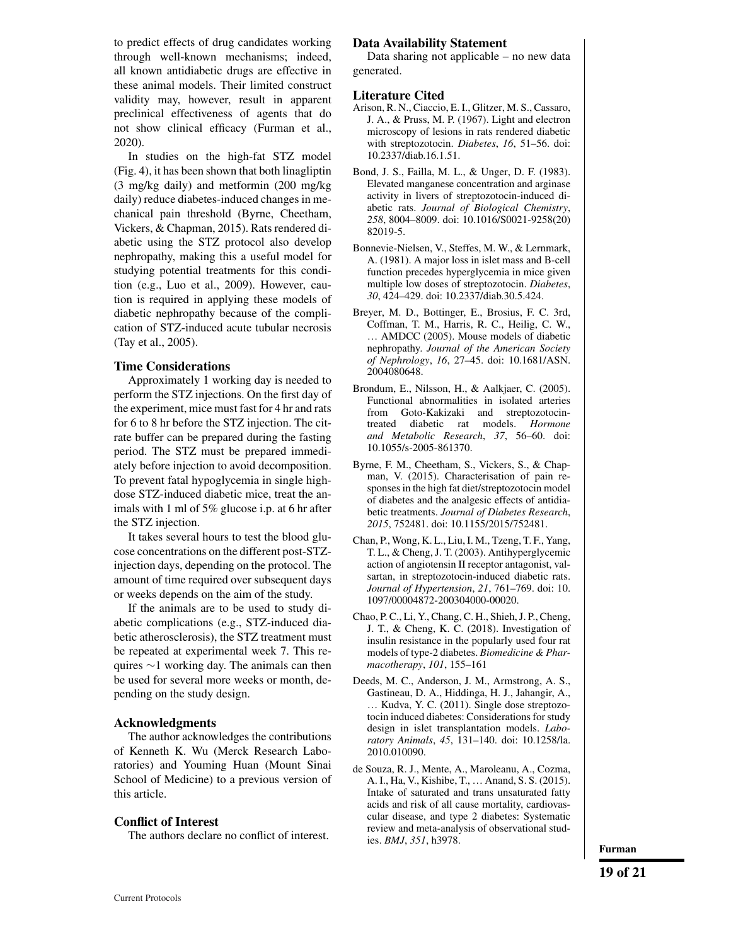to predict effects of drug candidates working through well-known mechanisms; indeed, all known antidiabetic drugs are effective in these animal models. Their limited construct validity may, however, result in apparent preclinical effectiveness of agents that do not show clinical efficacy (Furman et al., 2020).

In studies on the high-fat STZ model (Fig. 4), it has been shown that both linagliptin (3 mg/kg daily) and metformin (200 mg/kg daily) reduce diabetes-induced changes in mechanical pain threshold (Byrne, Cheetham, Vickers, & Chapman, 2015). Rats rendered diabetic using the STZ protocol also develop nephropathy, making this a useful model for studying potential treatments for this condition (e.g., Luo et al., 2009). However, caution is required in applying these models of diabetic nephropathy because of the complication of STZ-induced acute tubular necrosis (Tay et al., 2005).

## **Time Considerations**

Approximately 1 working day is needed to perform the STZ injections. On the first day of the experiment, mice must fast for 4 hr and rats for 6 to 8 hr before the STZ injection. The citrate buffer can be prepared during the fasting period. The STZ must be prepared immediately before injection to avoid decomposition. To prevent fatal hypoglycemia in single highdose STZ-induced diabetic mice, treat the animals with 1 ml of 5% glucose i.p. at 6 hr after the STZ injection.

It takes several hours to test the blood glucose concentrations on the different post-STZinjection days, depending on the protocol. The amount of time required over subsequent days or weeks depends on the aim of the study.

If the animals are to be used to study diabetic complications (e.g., STZ-induced diabetic atherosclerosis), the STZ treatment must be repeated at experimental week 7. This requires ∼1 working day. The animals can then be used for several more weeks or month, depending on the study design.

## **Acknowledgments**

The author acknowledges the contributions of Kenneth K. Wu (Merck Research Laboratories) and Youming Huan (Mount Sinai School of Medicine) to a previous version of this article.

#### **Conflict of Interest**

The authors declare no conflict of interest.

#### **Data Availability Statement**

Data sharing not applicable – no new data generated.

#### **Literature Cited**

- Arison, R. N., Ciaccio, E. I., Glitzer, M. S., Cassaro, J. A., & Pruss, M. P. (1967). Light and electron microscopy of lesions in rats rendered diabetic with streptozotocin. *Diabetes*, *16*, 51–56. doi: [10.2337/diab.16.1.51.](http://doi.org/10.2337/diab.16.1.51)
- Bond, J. S., Failla, M. L., & Unger, D. F. (1983). Elevated manganese concentration and arginase activity in livers of streptozotocin-induced diabetic rats. *Journal of Biological Chemistry*, *258*, 8004–8009. doi: [10.1016/S0021-9258\(20\)](http://doi.org/10.1016/S0021-9258(20)82019-5) [82019-5.](http://doi.org/10.1016/S0021-9258(20)82019-5)
- Bonnevie-Nielsen, V., Steffes, M. W., & Lernmark, A. (1981). A major loss in islet mass and B-cell function precedes hyperglycemia in mice given multiple low doses of streptozotocin. *Diabetes*, *30*, 424–429. doi: [10.2337/diab.30.5.424.](http://doi.org/10.2337/diab.30.5.424)
- Breyer, M. D., Bottinger, E., Brosius, F. C. 3rd, Coffman, T. M., Harris, R. C., Heilig, C. W., … AMDCC (2005). Mouse models of diabetic nephropathy. *Journal of the American Society of Nephrology*, *16*, 27–45. doi: [10.1681/ASN.](http://doi.org/10.1681/ASN.2004080648) [2004080648.](http://doi.org/10.1681/ASN.2004080648)
- Brondum, E., Nilsson, H., & Aalkjaer, C. (2005). Functional abnormalities in isolated arteries from Goto-Kakizaki and streptozotocintreated diabetic rat models. *Hormone and Metabolic Research*, *37*, 56–60. doi: [10.1055/s-2005-861370.](http://doi.org/10.1055/s-2005-861370)
- Byrne, F. M., Cheetham, S., Vickers, S., & Chapman, V. (2015). Characterisation of pain responses in the high fat diet/streptozotocin model of diabetes and the analgesic effects of antidiabetic treatments. *Journal of Diabetes Research*, *2015*, 752481. doi: [10.1155/2015/752481.](http://doi.org/10.1155/2015/752481)
- Chan, P., Wong, K. L., Liu, I. M., Tzeng, T. F., Yang, T. L., & Cheng, J. T. (2003). Antihyperglycemic action of angiotensin II receptor antagonist, valsartan, in streptozotocin-induced diabetic rats. *Journal of Hypertension*, *21*, 761–769. doi: [10.](http://doi.org/10.1097/00004872-200304000-00020) [1097/00004872-200304000-00020.](http://doi.org/10.1097/00004872-200304000-00020)
- Chao, P. C., Li, Y., Chang, C. H., Shieh, J. P., Cheng, J. T., & Cheng, K. C. (2018). Investigation of insulin resistance in the popularly used four rat models of type-2 diabetes. *Biomedicine & Pharmacotherapy*, *101*, 155–161
- Deeds, M. C., Anderson, J. M., Armstrong, A. S., Gastineau, D. A., Hiddinga, H. J., Jahangir, A., … Kudva, Y. C. (2011). Single dose streptozotocin induced diabetes: Considerations for study design in islet transplantation models. *Laboratory Animals*, *45*, 131–140. doi: [10.1258/la.](http://doi.org/10.1258/la.2010.010090) [2010.010090.](http://doi.org/10.1258/la.2010.010090)
- de Souza, R. J., Mente, A., Maroleanu, A., Cozma, A. I., Ha, V., Kishibe, T., … Anand, S. S. (2015). Intake of saturated and trans unsaturated fatty acids and risk of all cause mortality, cardiovascular disease, and type 2 diabetes: Systematic review and meta-analysis of observational studies. *BMJ*, *351*, h3978.

**Furman**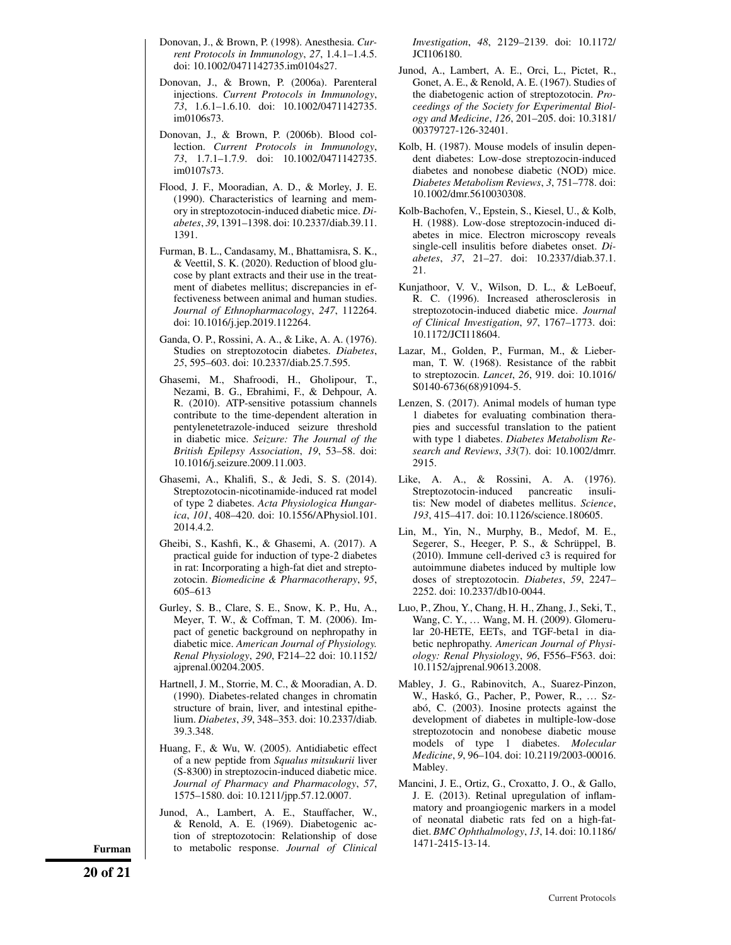- Donovan, J., & Brown, P. (1998). Anesthesia. *Current Protocols in Immunology*, *27*, 1.4.1–1.4.5. doi: [10.1002/0471142735.im0104s27.](http://doi.org/10.1002/0471142735.im0104s27)
- Donovan, J., & Brown, P. (2006a). Parenteral injections. *Current Protocols in Immunology*, *73*, 1.6.1–1.6.10. doi: [10.1002/0471142735.](http://doi.org/10.1002/0471142735.im0106s73) [im0106s73.](http://doi.org/10.1002/0471142735.im0106s73)
- Donovan, J., & Brown, P. (2006b). Blood collection. *Current Protocols in Immunology*, *73*, 1.7.1–1.7.9. doi: [10.1002/0471142735.](http://doi.org/10.1002/0471142735.im0107s73) [im0107s73.](http://doi.org/10.1002/0471142735.im0107s73)
- Flood, J. F., Mooradian, A. D., & Morley, J. E. (1990). Characteristics of learning and memory in streptozotocin-induced diabetic mice. *Diabetes*, *39*, 1391–1398. doi: [10.2337/diab.39.11.](http://doi.org/10.2337/diab.39.11.1391) [1391.](http://doi.org/10.2337/diab.39.11.1391)
- Furman, B. L., Candasamy, M., Bhattamisra, S. K., & Veettil, S. K. (2020). Reduction of blood glucose by plant extracts and their use in the treatment of diabetes mellitus; discrepancies in effectiveness between animal and human studies. *Journal of Ethnopharmacology*, *247*, 112264. doi: [10.1016/j.jep.2019.112264.](http://doi.org/10.1016/j.jep.2019.112264)
- Ganda, O. P., Rossini, A. A., & Like, A. A. (1976). Studies on streptozotocin diabetes. *Diabetes*, *25*, 595–603. doi: [10.2337/diab.25.7.595.](http://doi.org/10.2337/diab.25.7.595)
- Ghasemi, M., Shafroodi, H., Gholipour, T., Nezami, B. G., Ebrahimi, F., & Dehpour, A. R. (2010). ATP-sensitive potassium channels contribute to the time-dependent alteration in pentylenetetrazole-induced seizure threshold in diabetic mice. *Seizure: The Journal of the British Epilepsy Association*, *19*, 53–58. doi: [10.1016/j.seizure.2009.11.003.](http://doi.org/10.1016/j.seizure.2009.11.003)
- Ghasemi, A., Khalifi, S., & Jedi, S. S. (2014). Streptozotocin-nicotinamide-induced rat model of type 2 diabetes. *Acta Physiologica Hungarica*, *101*, 408–420. doi: [10.1556/APhysiol.101.](http://doi.org/10.1556/APhysiol.101.2014.4.2) [2014.4.2.](http://doi.org/10.1556/APhysiol.101.2014.4.2)
- Gheibi, S., Kashfi, K., & Ghasemi, A. (2017). A practical guide for induction of type-2 diabetes in rat: Incorporating a high-fat diet and streptozotocin. *Biomedicine & Pharmacotherapy*, *95*, 605–613
- Gurley, S. B., Clare, S. E., Snow, K. P., Hu, A., Meyer, T. W., & Coffman, T. M. (2006). Impact of genetic background on nephropathy in diabetic mice. *American Journal of Physiology. Renal Physiology*, *290*, F214–22 doi: [10.1152/](http://doi.org/10.1152/ajprenal.00204.2005) [ajprenal.00204.2005.](http://doi.org/10.1152/ajprenal.00204.2005)
- Hartnell, J. M., Storrie, M. C., & Mooradian, A. D. (1990). Diabetes-related changes in chromatin structure of brain, liver, and intestinal epithelium. *Diabetes*, *39*, 348–353. doi: [10.2337/diab.](http://doi.org/10.2337/diab.39.3.348) [39.3.348.](http://doi.org/10.2337/diab.39.3.348)
- Huang, F., & Wu, W. (2005). Antidiabetic effect of a new peptide from *Squalus mitsukurii* liver (S-8300) in streptozocin-induced diabetic mice. *Journal of Pharmacy and Pharmacology*, *57*, 1575–1580. doi: [10.1211/jpp.57.12.0007.](http://doi.org/10.1211/jpp.57.12.0007)
- Junod, A., Lambert, A. E., Stauffacher, W., & Renold, A. E. (1969). Diabetogenic action of streptozotocin: Relationship of dose **Furman** to metabolic response. *Journal of Clinical* [1471-2415-13-14.](http://doi.org/10.1186/1471-2415-13-14)

*Investigation*, *48*, 2129–2139. doi: [10.1172/](http://doi.org/10.1172/JCI106180) [JCI106180.](http://doi.org/10.1172/JCI106180)

- Junod, A., Lambert, A. E., Orci, L., Pictet, R., Gonet, A. E., & Renold, A. E. (1967). Studies of the diabetogenic action of streptozotocin. *Proceedings of the Society for Experimental Biology and Medicine*, *126*, 201–205. doi: [10.3181/](http://doi.org/10.3181/00379727-126-32401) [00379727-126-32401.](http://doi.org/10.3181/00379727-126-32401)
- Kolb, H. (1987). Mouse models of insulin dependent diabetes: Low-dose streptozocin-induced diabetes and nonobese diabetic (NOD) mice. *Diabetes Metabolism Reviews*, *3*, 751–778. doi: [10.1002/dmr.5610030308.](http://doi.org/10.1002/dmr.5610030308)
- Kolb-Bachofen, V., Epstein, S., Kiesel, U., & Kolb, H. (1988). Low-dose streptozocin-induced diabetes in mice. Electron microscopy reveals single-cell insulitis before diabetes onset. *Diabetes*, *37*, 21–27. doi: [10.2337/diab.37.1.](http://doi.org/10.2337/diab.37.1.21) [21.](http://doi.org/10.2337/diab.37.1.21)
- Kunjathoor, V. V., Wilson, D. L., & LeBoeuf, R. C. (1996). Increased atherosclerosis in streptozotocin-induced diabetic mice. *Journal of Clinical Investigation*, *97*, 1767–1773. doi: [10.1172/JCI118604.](http://doi.org/10.1172/JCI118604)
- Lazar, M., Golden, P., Furman, M., & Lieberman, T. W. (1968). Resistance of the rabbit to streptozocin. *Lancet*, *26*, 919. doi: [10.1016/](http://doi.org/10.1016/S0140-6736(68)91094-5) [S0140-6736\(68\)91094-5.](http://doi.org/10.1016/S0140-6736(68)91094-5)
- Lenzen, S. (2017). Animal models of human type 1 diabetes for evaluating combination therapies and successful translation to the patient with type 1 diabetes. *Diabetes Metabolism Research and Reviews*, *33*(7). doi: [10.1002/dmrr.](http://doi.org/10.1002/dmrr.2915) [2915.](http://doi.org/10.1002/dmrr.2915)
- Like, A. A., & Rossini, A. A. (1976). Streptozotocin-induced pancreatic insulitis: New model of diabetes mellitus. *Science*, *193*, 415–417. doi: [10.1126/science.180605.](http://doi.org/10.1126/science.180605)
- Lin, M., Yin, N., Murphy, B., Medof, M. E., Segerer, S., Heeger, P. S., & Schrüppel, B. (2010). Immune cell-derived c3 is required for autoimmune diabetes induced by multiple low doses of streptozotocin. *Diabetes*, *59*, 2247– 2252. doi: [10.2337/db10-0044.](http://doi.org/10.2337/db10-0044)
- Luo, P., Zhou, Y., Chang, H. H., Zhang, J., Seki, T., Wang, C. Y., … Wang, M. H. (2009). Glomerular 20-HETE, EETs, and TGF-beta1 in diabetic nephropathy. *American Journal of Physiology: Renal Physiology*, *96*, F556–F563. doi: [10.1152/ajprenal.90613.2008.](http://doi.org/10.1152/ajprenal.90613.2008)
- Mabley, J. G., Rabinovitch, A., Suarez-Pinzon, W., Haskó, G., Pacher, P., Power, R., … Szabó, C. (2003). Inosine protects against the development of diabetes in multiple-low-dose streptozotocin and nonobese diabetic mouse models of type 1 diabetes. *Molecular Medicine*, *9*, 96–104. doi: [10.2119/2003-00016.](http://doi.org/10.2119/2003-00016.Mabley) [Mabley.](http://doi.org/10.2119/2003-00016.Mabley)
- Mancini, J. E., Ortiz, G., Croxatto, J. O., & Gallo, J. E. (2013). Retinal upregulation of inflammatory and proangiogenic markers in a model of neonatal diabetic rats fed on a high-fatdiet. *BMC Ophthalmology*, *13*, 14. doi: [10.1186/](http://doi.org/10.1186/1471-2415-13-14)